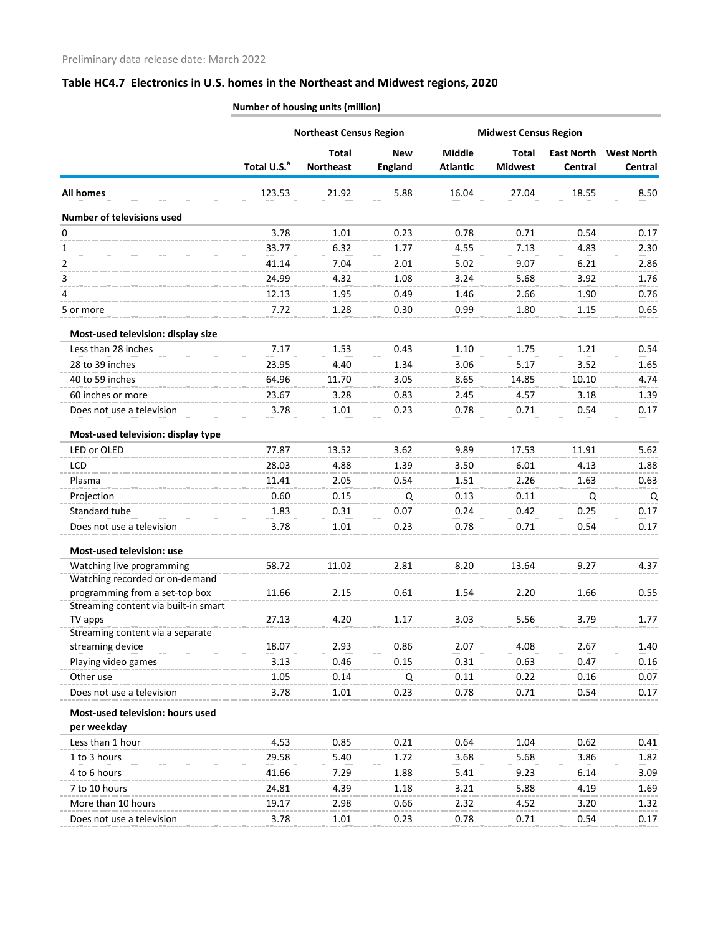|                                                             |                         | <b>Northeast Census Region</b>   |                              |                                  | <b>Midwest Census Region</b>   |                              |                   |
|-------------------------------------------------------------|-------------------------|----------------------------------|------------------------------|----------------------------------|--------------------------------|------------------------------|-------------------|
|                                                             | Total U.S. <sup>a</sup> | <b>Total</b><br><b>Northeast</b> | <b>New</b><br><b>England</b> | <b>Middle</b><br><b>Atlantic</b> | <b>Total</b><br><b>Midwest</b> | <b>East North</b><br>Central | <b>West North</b> |
|                                                             |                         |                                  |                              |                                  |                                |                              | Central           |
| <b>All homes</b>                                            | 123.53                  | 21.92                            | 5.88                         | 16.04                            | 27.04                          | 18.55                        | 8.50              |
| <b>Number of televisions used</b>                           |                         |                                  |                              |                                  |                                |                              |                   |
| 0                                                           | 3.78                    | 1.01                             | 0.23                         | 0.78                             | 0.71                           | 0.54                         | 0.17              |
| 1                                                           | 33.77                   | 6.32                             | 1.77                         | 4.55                             | 7.13                           | 4.83                         | 2.30              |
| 2                                                           | 41.14                   | 7.04                             | 2.01                         | 5.02                             | 9.07                           | 6.21                         | 2.86              |
| 3                                                           | 24.99                   | 4.32                             | 1.08                         | 3.24                             | 5.68                           | 3.92                         | 1.76              |
| 4                                                           | 12.13                   | 1.95                             | 0.49                         | 1.46                             | 2.66                           | 1.90                         | 0.76              |
| 5 or more                                                   | 7.72                    | 1.28                             | 0.30                         | 0.99                             | 1.80                           | 1.15                         | 0.65              |
| Most-used television: display size                          |                         |                                  |                              |                                  |                                |                              |                   |
| Less than 28 inches                                         | 7.17                    | 1.53                             | 0.43                         | 1.10                             | 1.75                           | 1.21                         | 0.54              |
| 28 to 39 inches                                             | 23.95                   | 4.40                             | 1.34                         | 3.06                             | 5.17                           | 3.52                         | 1.65              |
| 40 to 59 inches                                             | 64.96                   | 11.70                            | 3.05                         | 8.65                             | 14.85                          | 10.10                        | 4.74              |
| 60 inches or more                                           | 23.67                   | 3.28                             | 0.83                         | 2.45                             | 4.57                           | 3.18                         | 1.39              |
| Does not use a television                                   | 3.78                    | 1.01                             | 0.23                         | 0.78                             | 0.71                           | 0.54                         | 0.17              |
| Most-used television: display type                          |                         |                                  |                              |                                  |                                |                              |                   |
| LED or OLED                                                 | 77.87                   | 13.52                            | 3.62                         | 9.89                             | 17.53                          | 11.91                        | 5.62              |
| LCD                                                         | 28.03                   | 4.88                             | 1.39                         | 3.50                             | 6.01                           | 4.13                         | 1.88              |
| Plasma                                                      | 11.41                   | 2.05                             | 0.54                         | 1.51                             | 2.26                           | 1.63                         | 0.63              |
| Projection                                                  | 0.60                    | 0.15                             | Q                            | 0.13                             | 0.11                           | Q                            | Q                 |
| Standard tube                                               | 1.83                    | 0.31                             | 0.07                         | 0.24                             | 0.42                           | 0.25                         | 0.17              |
| Does not use a television                                   | 3.78                    | 1.01                             | 0.23                         | 0.78                             | 0.71                           | 0.54                         | 0.17              |
|                                                             |                         |                                  |                              |                                  |                                |                              |                   |
| Most-used television: use                                   |                         |                                  |                              |                                  |                                |                              |                   |
| Watching live programming<br>Watching recorded or on-demand | 58.72                   | 11.02                            | 2.81                         | 8.20                             | 13.64                          | 9.27                         | 4.37              |
| programming from a set-top box                              | 11.66                   | 2.15                             | 0.61                         | 1.54                             | 2.20                           | 1.66                         | 0.55              |
| Streaming content via built-in smart                        |                         |                                  |                              |                                  |                                |                              |                   |
| TV apps                                                     | 27.13                   | 4.20                             | 1.17                         | 3.03                             | 5.56                           | 3.79                         | 1.77              |
| Streaming content via a separate                            |                         |                                  |                              |                                  |                                |                              |                   |
| streaming device                                            | 18.07                   | 2.93                             | 0.86                         | 2.07                             | 4.08                           | 2.67                         | 1.40              |
| Playing video games                                         | 3.13                    | 0.46                             | 0.15                         | 0.31                             | 0.63                           | 0.47                         | 0.16              |
| Other use                                                   | 1.05                    | 0.14                             | Q                            | 0.11                             | 0.22                           | 0.16                         | 0.07              |
| Does not use a television                                   | 3.78                    | 1.01                             | 0.23                         | 0.78                             | 0.71                           | 0.54                         | 0.17              |
| Most-used television: hours used                            |                         |                                  |                              |                                  |                                |                              |                   |
| per weekday                                                 |                         |                                  |                              |                                  |                                |                              |                   |
| Less than 1 hour                                            | 4.53                    | 0.85                             | 0.21                         | 0.64                             | 1.04                           | 0.62                         | 0.41              |
| 1 to 3 hours                                                | 29.58                   | 5.40                             | 1.72                         | 3.68                             | 5.68                           | 3.86                         | 1.82              |
| 4 to 6 hours                                                | 41.66                   | 7.29                             | 1.88                         | 5.41                             | 9.23                           | 6.14                         | 3.09              |
| 7 to 10 hours                                               | 24.81                   | 4.39                             | 1.18                         | 3.21                             | 5.88                           | 4.19                         | 1.69              |
| More than 10 hours                                          | 19.17                   | 2.98                             | 0.66                         | 2.32                             | 4.52                           | 3.20                         | 1.32              |
| Does not use a television                                   | 3.78                    | 1.01                             | 0.23                         | 0.78                             | 0.71                           | 0.54                         | 0.17              |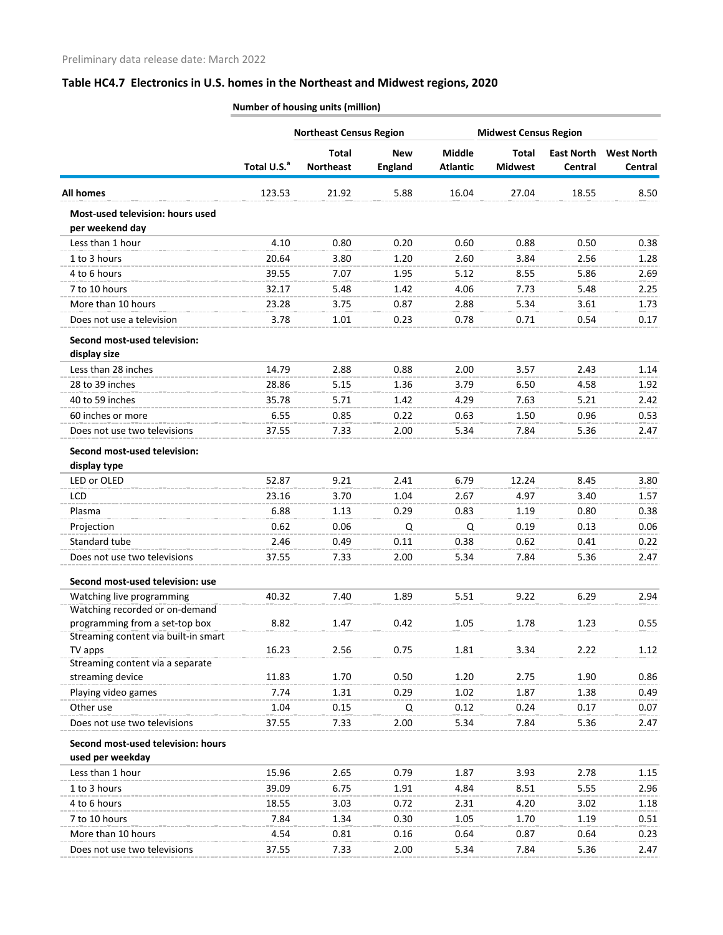|                                                     |                         | <b>Northeast Census Region</b>   |                              | <b>Midwest Census Region</b>     |                                |                              |                              |
|-----------------------------------------------------|-------------------------|----------------------------------|------------------------------|----------------------------------|--------------------------------|------------------------------|------------------------------|
|                                                     | Total U.S. <sup>a</sup> | <b>Total</b><br><b>Northeast</b> | <b>New</b><br><b>England</b> | <b>Middle</b><br><b>Atlantic</b> | <b>Total</b><br><b>Midwest</b> | <b>East North</b><br>Central | <b>West North</b><br>Central |
| <b>All homes</b>                                    | 123.53                  | 21.92                            | 5.88                         | 16.04                            | 27.04                          | 18.55                        | 8.50                         |
| Most-used television: hours used<br>per weekend day |                         |                                  |                              |                                  |                                |                              |                              |
| Less than 1 hour                                    | 4.10                    | 0.80                             | 0.20                         | 0.60                             | 0.88                           | 0.50                         | 0.38                         |
| 1 to 3 hours                                        | 20.64                   | 3.80                             | 1.20                         | 2.60                             | 3.84                           | 2.56                         | 1.28                         |
| 4 to 6 hours                                        | 39.55                   | 7.07                             | 1.95                         | 5.12                             | 8.55                           | 5.86                         | 2.69                         |
| 7 to 10 hours                                       | 32.17                   | 5.48                             | 1.42                         | 4.06                             | 7.73                           | 5.48                         | 2.25                         |
| More than 10 hours                                  | 23.28                   | 3.75                             | 0.87                         | 2.88                             | 5.34                           | 3.61                         | 1.73                         |
| Does not use a television                           | 3.78                    | 1.01                             | 0.23                         | 0.78                             | 0.71                           | 0.54                         | 0.17                         |
| Second most-used television:<br>display size        |                         |                                  |                              |                                  |                                |                              |                              |
| Less than 28 inches                                 | 14.79                   | 2.88                             | 0.88                         | 2.00                             | 3.57                           | 2.43                         | 1.14                         |
| 28 to 39 inches                                     | 28.86                   | 5.15                             | 1.36                         | 3.79                             | 6.50                           | 4.58                         | 1.92                         |
| 40 to 59 inches                                     | 35.78                   | 5.71                             | 1.42                         | 4.29                             | 7.63                           | 5.21                         | 2.42                         |
| 60 inches or more                                   | 6.55                    | 0.85                             | 0.22                         | 0.63                             | 1.50                           | 0.96                         | 0.53                         |
| Does not use two televisions                        | 37.55                   | 7.33                             | 2.00                         | 5.34                             | 7.84                           | 5.36                         | 2.47                         |
| Second most-used television:<br>display type        |                         |                                  |                              |                                  |                                |                              |                              |
| LED or OLED                                         | 52.87                   | 9.21                             | 2.41                         | 6.79                             | 12.24                          | 8.45                         | 3.80                         |
| LCD                                                 | 23.16                   | 3.70                             | 1.04                         | 2.67                             | 4.97                           | 3.40                         | 1.57                         |
| Plasma                                              | 6.88                    | 1.13                             | 0.29                         | 0.83                             | 1.19                           | 0.80                         | 0.38                         |
| Projection                                          | 0.62                    | 0.06                             | Q                            | Q                                | 0.19                           | 0.13                         | 0.06                         |
| Standard tube                                       | 2.46                    | 0.49                             | 0.11                         | 0.38                             | 0.62                           | 0.41                         | 0.22                         |
| Does not use two televisions                        | 37.55                   | 7.33                             | 2.00                         | 5.34                             | 7.84                           | 5.36                         | 2.47                         |
| Second most-used television: use                    |                         |                                  |                              |                                  |                                |                              |                              |
| Watching live programming                           | 40.32                   | 7.40                             | 1.89                         | 5.51                             | 9.22                           | 6.29                         | 2.94                         |
| Watching recorded or on-demand                      |                         |                                  |                              |                                  |                                |                              |                              |
| programming from a set-top box                      | 8.82                    | 1.47                             | 0.42                         | 1.05                             | 1.78                           | 1.23                         | 0.55                         |
| Streaming content via built-in smart<br>TV apps     | 16.23                   | 2.56                             | 0.75                         | 1.81                             | 3.34                           | 2.22                         | 1.12                         |
| Streaming content via a separate                    |                         |                                  |                              |                                  |                                |                              |                              |
| streaming device                                    | 11.83                   | 1.70                             | 0.50                         | 1.20                             | 2.75                           | 1.90                         | 0.86                         |
| Playing video games                                 | 7.74                    | 1.31                             | 0.29                         | 1.02                             | 1.87                           | 1.38                         | 0.49                         |
| Other use                                           | 1.04                    | 0.15                             | Q                            | 0.12                             | 0.24                           | 0.17                         | 0.07                         |
| Does not use two televisions                        | 37.55                   | 7.33                             | 2.00                         | 5.34                             | 7.84                           | 5.36                         | 2.47                         |
| Second most-used television: hours                  |                         |                                  |                              |                                  |                                |                              |                              |
| used per weekday                                    |                         |                                  |                              |                                  |                                |                              |                              |
| Less than 1 hour                                    | 15.96                   | 2.65                             | 0.79                         | 1.87                             | 3.93                           | 2.78                         | 1.15                         |
| 1 to 3 hours                                        | 39.09                   | 6.75                             | 1.91                         | 4.84                             | 8.51                           | 5.55                         | 2.96                         |
| 4 to 6 hours                                        | 18.55                   | 3.03                             | 0.72                         | 2.31                             | 4.20                           | 3.02                         | 1.18                         |
| 7 to 10 hours                                       | 7.84                    | 1.34                             | 0.30                         | 1.05                             | 1.70                           | 1.19                         | 0.51                         |
| More than 10 hours                                  | 4.54                    | 0.81                             | 0.16                         | 0.64                             | 0.87                           | 0.64                         | 0.23                         |
| Does not use two televisions                        | 37.55                   | 7.33                             | 2.00                         | 5.34                             | 7.84                           | 5.36                         | 2.47                         |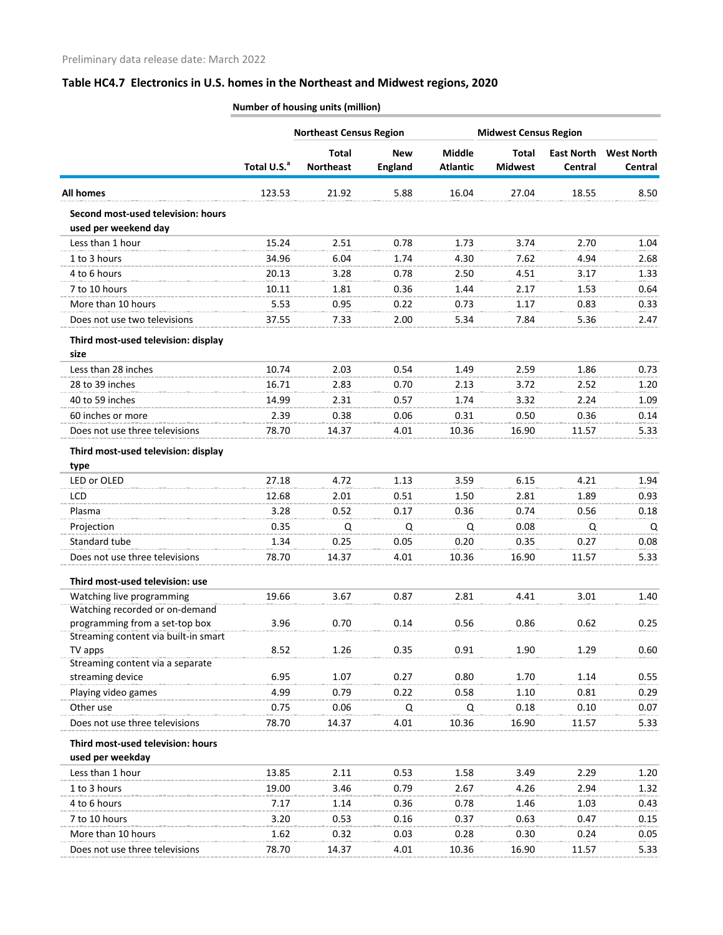|                                                             |                         | <b>Northeast Census Region</b>   |                              | <b>Midwest Census Region</b>     |                         |                                     |                              |
|-------------------------------------------------------------|-------------------------|----------------------------------|------------------------------|----------------------------------|-------------------------|-------------------------------------|------------------------------|
|                                                             | Total U.S. <sup>a</sup> | <b>Total</b><br><b>Northeast</b> | <b>New</b><br><b>England</b> | <b>Middle</b><br><b>Atlantic</b> | Total<br><b>Midwest</b> | <b>East North</b><br><b>Central</b> | <b>West North</b><br>Central |
| <b>All homes</b>                                            | 123.53                  | 21.92                            | 5.88                         | 16.04                            | 27.04                   | 18.55                               | 8.50                         |
| Second most-used television: hours<br>used per weekend day  |                         |                                  |                              |                                  |                         |                                     |                              |
| Less than 1 hour                                            | 15.24                   | 2.51                             | 0.78                         | 1.73                             | 3.74                    | 2.70                                | 1.04                         |
| 1 to 3 hours                                                | 34.96                   | 6.04                             | 1.74                         | 4.30                             | 7.62                    | 4.94                                | 2.68                         |
| 4 to 6 hours                                                | 20.13                   | 3.28                             | 0.78                         | 2.50                             | 4.51                    | 3.17                                | 1.33                         |
| 7 to 10 hours                                               | 10.11                   | 1.81                             | 0.36                         | 1.44                             | 2.17                    | 1.53                                | 0.64                         |
| More than 10 hours                                          | 5.53                    | 0.95                             | 0.22                         | 0.73                             | 1.17                    | 0.83                                | 0.33                         |
| Does not use two televisions                                | 37.55                   | 7.33                             | 2.00                         | 5.34                             | 7.84                    | 5.36                                | 2.47                         |
| Third most-used television: display<br>size                 |                         |                                  |                              |                                  |                         |                                     |                              |
| Less than 28 inches                                         | 10.74                   | 2.03                             | 0.54                         | 1.49                             | 2.59                    | 1.86                                | 0.73                         |
| 28 to 39 inches                                             | 16.71                   | 2.83                             | 0.70                         | 2.13                             | 3.72                    | 2.52                                | 1.20                         |
| 40 to 59 inches                                             | 14.99                   | 2.31                             | 0.57                         | 1.74                             | 3.32                    | 2.24                                | 1.09                         |
| 60 inches or more                                           | 2.39                    | 0.38                             | 0.06                         | 0.31                             | 0.50                    | 0.36                                | 0.14                         |
| Does not use three televisions                              | 78.70                   | 14.37                            | 4.01                         | 10.36                            | 16.90                   | 11.57                               | 5.33                         |
| Third most-used television: display                         |                         |                                  |                              |                                  |                         |                                     |                              |
| type                                                        |                         |                                  |                              |                                  |                         |                                     |                              |
| LED or OLED                                                 | 27.18                   | 4.72                             | 1.13                         | 3.59                             | 6.15                    | 4.21                                | 1.94                         |
| <b>LCD</b>                                                  | 12.68                   | 2.01                             | 0.51                         | 1.50                             | 2.81                    | 1.89                                | 0.93                         |
| Plasma                                                      | 3.28                    | 0.52                             | 0.17                         | 0.36                             | 0.74                    | 0.56                                | 0.18                         |
| Projection                                                  | 0.35                    | Q                                | Q                            | Q                                | 0.08                    | Q                                   | Q                            |
| Standard tube                                               | 1.34                    | 0.25                             | 0.05                         | 0.20                             | 0.35                    | 0.27                                | 0.08                         |
| Does not use three televisions                              | 78.70                   | 14.37                            | 4.01                         | 10.36                            | 16.90                   | 11.57                               | 5.33                         |
| Third most-used television: use                             |                         |                                  |                              |                                  |                         |                                     |                              |
| Watching live programming<br>Watching recorded or on-demand | 19.66                   | 3.67                             | 0.87                         | 2.81                             | 4.41                    | 3.01                                | 1.40                         |
| programming from a set-top box                              | 3.96                    | 0.70                             | 0.14                         | 0.56                             | 0.86                    | 0.62                                | 0.25                         |
| Streaming content via built-in smart<br>TV apps             | 8.52                    | 1.26                             | 0.35                         | 0.91                             | 1.90                    | 1.29                                | 0.60                         |
| Streaming content via a separate                            |                         |                                  |                              |                                  |                         |                                     |                              |
| streaming device                                            | 6.95                    | 1.07                             | 0.27                         | 0.80                             | 1.70                    | 1.14                                | 0.55                         |
| Playing video games                                         | 4.99                    | 0.79                             | 0.22                         | 0.58                             | 1.10                    | 0.81                                | 0.29                         |
| Other use                                                   | 0.75                    | 0.06                             | Q                            | Q                                | 0.18                    | 0.10                                | 0.07                         |
| Does not use three televisions                              | 78.70                   | 14.37                            | 4.01                         | 10.36                            | 16.90                   | 11.57                               | 5.33                         |
| Third most-used television: hours                           |                         |                                  |                              |                                  |                         |                                     |                              |
| used per weekday                                            |                         |                                  |                              |                                  |                         |                                     |                              |
| Less than 1 hour                                            | 13.85                   | 2.11                             | 0.53                         | 1.58                             | 3.49                    | 2.29                                | 1.20                         |
| 1 to 3 hours                                                | 19.00                   | 3.46                             | 0.79                         | 2.67                             | 4.26                    | 2.94                                | 1.32                         |
| 4 to 6 hours                                                | 7.17                    | 1.14                             | 0.36                         | 0.78                             | 1.46                    | 1.03                                | 0.43                         |
| 7 to 10 hours                                               | 3.20                    | 0.53                             | 0.16                         | 0.37                             | 0.63                    | 0.47                                | 0.15                         |
| More than 10 hours                                          | 1.62                    | 0.32                             | 0.03                         | 0.28                             | 0.30                    | 0.24                                | 0.05                         |
| Does not use three televisions                              | 78.70                   | 14.37                            | 4.01                         | 10.36                            | 16.90                   | 11.57                               | 5.33                         |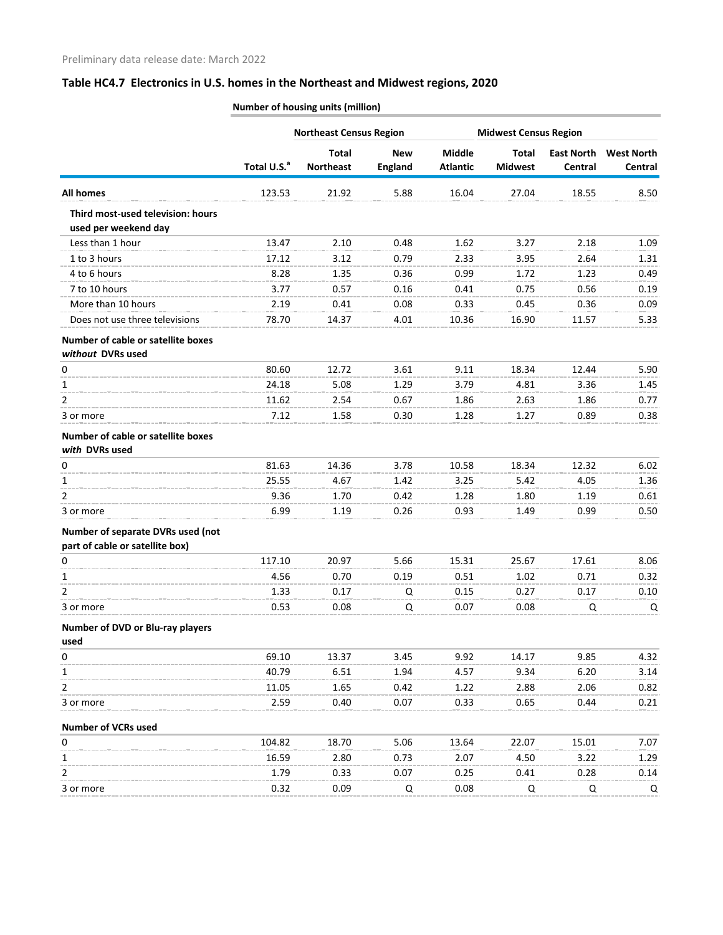|                                                           |                         | <b>Northeast Census Region</b>   |                              |                                  | <b>Midwest Census Region</b>   |                              |                              |
|-----------------------------------------------------------|-------------------------|----------------------------------|------------------------------|----------------------------------|--------------------------------|------------------------------|------------------------------|
|                                                           | Total U.S. <sup>a</sup> | <b>Total</b><br><b>Northeast</b> | <b>New</b><br><b>England</b> | <b>Middle</b><br><b>Atlantic</b> | <b>Total</b><br><b>Midwest</b> | <b>East North</b><br>Central | <b>West North</b><br>Central |
| <b>All homes</b>                                          | 123.53                  | 21.92                            | 5.88                         | 16.04                            | 27.04                          | 18.55                        | 8.50                         |
| Third most-used television: hours<br>used per weekend day |                         |                                  |                              |                                  |                                |                              |                              |
| Less than 1 hour                                          | 13.47                   | 2.10                             | 0.48                         | 1.62                             | 3.27                           | 2.18                         | 1.09                         |
| 1 to 3 hours                                              | 17.12                   | 3.12                             | 0.79                         | 2.33                             | 3.95                           | 2.64                         | 1.31                         |
| 4 to 6 hours                                              | 8.28                    | 1.35                             | 0.36                         | 0.99                             | 1.72                           | 1.23                         | 0.49                         |
| 7 to 10 hours                                             | 3.77                    | 0.57                             | 0.16                         | 0.41                             | 0.75                           | 0.56                         | 0.19                         |
| More than 10 hours                                        | 2.19                    | 0.41                             | 0.08                         | 0.33                             | 0.45                           | 0.36                         | 0.09                         |
| Does not use three televisions                            | 78.70                   | 14.37                            | 4.01                         | 10.36                            | 16.90                          | 11.57                        | 5.33                         |
| Number of cable or satellite boxes<br>without DVRs used   |                         |                                  |                              |                                  |                                |                              |                              |
|                                                           | 80.60                   | 12.72                            |                              | 9.11                             | 18.34                          | 12.44                        |                              |
| 0                                                         |                         |                                  | 3.61                         |                                  |                                |                              | 5.90                         |
| 1                                                         | 24.18                   | 5.08                             | 1.29                         | 3.79                             | 4.81<br>2.63                   | 3.36                         | 1.45                         |
| 2                                                         | 11.62                   | 2.54                             | 0.67                         | 1.86                             |                                | 1.86                         | 0.77                         |
| 3 or more                                                 | 7.12                    | 1.58                             | 0.30                         | 1.28                             | 1.27                           | 0.89                         | 0.38                         |
| Number of cable or satellite boxes<br>with DVRs used      |                         |                                  |                              |                                  |                                |                              |                              |
| 0                                                         | 81.63                   | 14.36                            | 3.78                         | 10.58                            | 18.34                          | 12.32                        | 6.02                         |
| 1                                                         | 25.55                   | 4.67                             | 1.42                         | 3.25                             | 5.42                           | 4.05                         | 1.36                         |
| 2                                                         | 9.36                    | 1.70                             | 0.42                         | 1.28                             | 1.80                           | 1.19                         | 0.61                         |
| 3 or more                                                 | 6.99                    | 1.19                             | 0.26                         | 0.93                             | 1.49                           | 0.99                         | 0.50                         |
| Number of separate DVRs used (not                         |                         |                                  |                              |                                  |                                |                              |                              |
| part of cable or satellite box)                           |                         |                                  |                              |                                  |                                |                              |                              |
| 0                                                         | 117.10                  | 20.97                            | 5.66                         | 15.31                            | 25.67                          | 17.61<br>0.71                | 8.06                         |
| 1<br>2                                                    | 4.56<br>1.33            | 0.70<br>0.17                     | 0.19                         | 0.51<br>0.15                     | 1.02<br>0.27                   | 0.17                         | 0.32<br>0.10                 |
| 3 or more                                                 | 0.53                    | 0.08                             | Q<br>Q                       | 0.07                             | 0.08                           | Q                            | Q                            |
|                                                           |                         |                                  |                              |                                  |                                |                              |                              |
| Number of DVD or Blu-ray players<br>used                  |                         |                                  |                              |                                  |                                |                              |                              |
| 0                                                         | 69.10                   | 13.37                            | 3.45                         | 9.92                             | 14.17                          | 9.85                         | 4.32                         |
| 1                                                         | 40.79                   | 6.51                             | 1.94                         | 4.57                             | 9.34                           | 6.20                         | 3.14                         |
| 2                                                         | 11.05                   | 1.65                             | 0.42                         | 1.22                             | 2.88                           | 2.06                         | 0.82                         |
| 3 or more                                                 | 2.59                    | 0.40                             | 0.07                         | 0.33                             | 0.65                           | 0.44                         | 0.21                         |
| <b>Number of VCRs used</b>                                |                         |                                  |                              |                                  |                                |                              |                              |
| 0                                                         | 104.82                  | 18.70                            | 5.06                         | 13.64                            | 22.07                          | 15.01                        | 7.07                         |
| 1                                                         | 16.59                   | 2.80                             | 0.73                         | 2.07                             | 4.50                           | 3.22                         | 1.29                         |
| 2                                                         | 1.79                    | 0.33                             | 0.07                         | 0.25                             | 0.41                           | 0.28                         | 0.14                         |
| 3 or more                                                 | 0.32                    | 0.09                             | Q                            | 0.08                             | Q                              | Q                            | Q                            |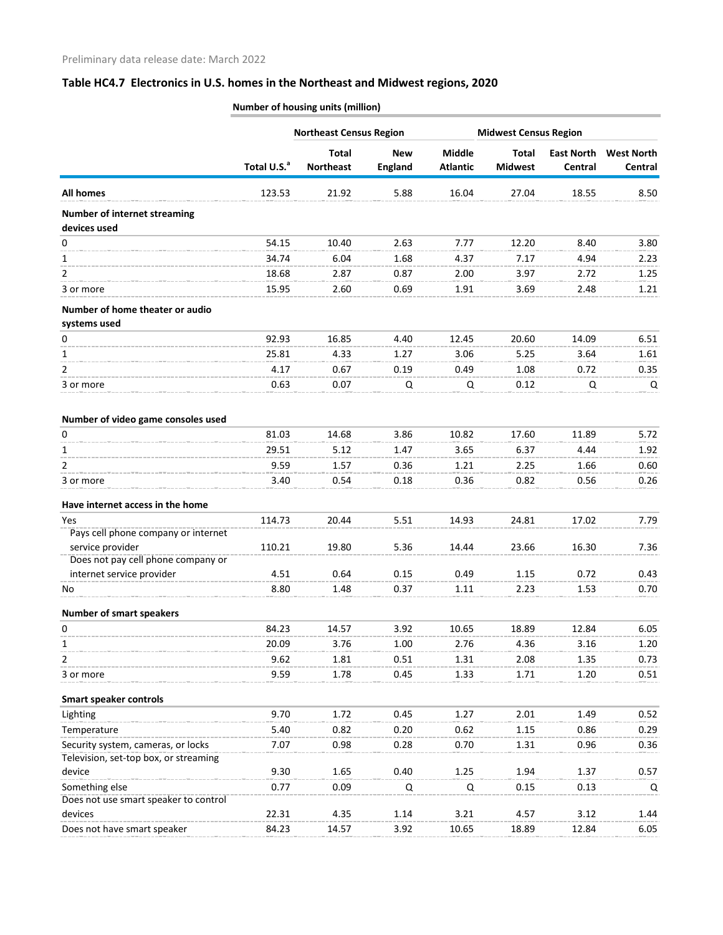|                                                     |                         | <b>Northeast Census Region</b> |                              | <b>Midwest Census Region</b> |                                |                              |                              |
|-----------------------------------------------------|-------------------------|--------------------------------|------------------------------|------------------------------|--------------------------------|------------------------------|------------------------------|
|                                                     | Total U.S. <sup>a</sup> | Total<br><b>Northeast</b>      | <b>New</b><br><b>England</b> | Middle<br><b>Atlantic</b>    | <b>Total</b><br><b>Midwest</b> | <b>East North</b><br>Central | <b>West North</b><br>Central |
| All homes                                           | 123.53                  | 21.92                          | 5.88                         | 16.04                        | 27.04                          | 18.55                        | 8.50                         |
| <b>Number of internet streaming</b><br>devices used |                         |                                |                              |                              |                                |                              |                              |
| 0                                                   | 54.15                   | 10.40                          | 2.63                         | 7.77                         | 12.20                          | 8.40                         | 3.80                         |
| 1                                                   | 34.74                   | 6.04                           | 1.68                         | 4.37                         | 7.17                           | 4.94                         | 2.23                         |
| 2                                                   | 18.68                   | 2.87                           | 0.87                         | 2.00                         | 3.97                           | 2.72                         | 1.25                         |
| 3 or more                                           | 15.95                   | 2.60                           | 0.69                         | 1.91                         | 3.69                           | 2.48                         | 1.21                         |
| Number of home theater or audio                     |                         |                                |                              |                              |                                |                              |                              |
| systems used                                        |                         |                                |                              |                              |                                |                              |                              |
| 0                                                   | 92.93                   | 16.85                          | 4.40                         | 12.45                        | 20.60                          | 14.09                        | 6.51                         |
| 1                                                   | 25.81                   | 4.33                           | 1.27                         | 3.06                         | 5.25                           | 3.64                         | 1.61                         |
| 2                                                   | 4.17                    | 0.67                           | 0.19                         | 0.49                         | 1.08                           | 0.72                         | 0.35                         |
| 3 or more                                           | 0.63                    | 0.07                           | Q                            | Q                            | 0.12                           | Q                            | Q                            |
| Number of video game consoles used                  |                         |                                |                              |                              |                                |                              |                              |
| 0                                                   | 81.03                   | 14.68                          | 3.86                         | 10.82                        | 17.60                          | 11.89                        | 5.72                         |
| 1                                                   | 29.51                   | 5.12                           | 1.47                         | 3.65                         | 6.37                           | 4.44                         | 1.92                         |
| 2                                                   | 9.59                    | 1.57                           | 0.36                         | 1.21                         | 2.25                           | 1.66                         | 0.60                         |
| 3 or more                                           | 3.40                    | 0.54                           | 0.18                         | 0.36                         | 0.82                           | 0.56                         | 0.26                         |
| Have internet access in the home                    |                         |                                |                              |                              |                                |                              |                              |
| Yes                                                 | 114.73                  | 20.44                          | 5.51                         | 14.93                        | 24.81                          | 17.02                        | 7.79                         |
| Pays cell phone company or internet                 |                         |                                |                              |                              |                                |                              |                              |
| service provider                                    | 110.21                  | 19.80                          | 5.36                         | 14.44                        | 23.66                          | 16.30                        | 7.36                         |
| Does not pay cell phone company or                  |                         |                                |                              |                              |                                |                              |                              |
| internet service provider                           | 4.51                    | 0.64                           | 0.15                         | 0.49                         | 1.15                           | 0.72                         | 0.43                         |
| No                                                  | 8.80                    | 1.48                           | 0.37                         | 1.11                         | 2.23                           | 1.53                         | 0.70                         |
| <b>Number of smart speakers</b>                     |                         |                                |                              |                              |                                |                              |                              |
| 0                                                   | 84.23                   | 14.57                          | 3.92                         | 10.65                        | 18.89                          | 12.84                        | 6.05                         |
| 1                                                   | 20.09                   | 3.76                           | 1.00                         | 2.76                         | 4.36                           | 3.16                         | 1.20                         |
| 2                                                   | 9.62                    | 1.81                           | 0.51                         | 1.31                         | 2.08                           | 1.35                         | 0.73                         |
| 3 or more                                           | 9.59                    | 1.78                           | 0.45                         | 1.33                         | 1.71                           | 1.20                         | 0.51                         |
| <b>Smart speaker controls</b>                       |                         |                                |                              |                              |                                |                              |                              |
| Lighting                                            | 9.70                    | 1.72                           | 0.45                         | 1.27                         | 2.01                           | 1.49                         | 0.52                         |
| Temperature                                         | 5.40                    | 0.82                           | 0.20                         | 0.62                         | 1.15                           | 0.86                         | 0.29                         |
| Security system, cameras, or locks                  | 7.07                    | 0.98                           | 0.28                         | 0.70                         | 1.31                           | 0.96                         | 0.36                         |
| Television, set-top box, or streaming               |                         |                                |                              |                              |                                |                              |                              |
| device                                              | 9.30                    | 1.65                           | 0.40                         | 1.25                         | 1.94                           | 1.37                         | 0.57                         |
| Something else                                      | 0.77                    | 0.09                           | Q                            | Q                            | 0.15                           | 0.13                         | Q                            |
| Does not use smart speaker to control               |                         |                                |                              |                              |                                |                              |                              |
| devices                                             | 22.31                   | 4.35                           | 1.14                         | 3.21                         | 4.57                           | 3.12                         | 1.44                         |
| Does not have smart speaker                         | 84.23                   | 14.57                          | 3.92                         | 10.65                        | 18.89                          | 12.84                        | 6.05                         |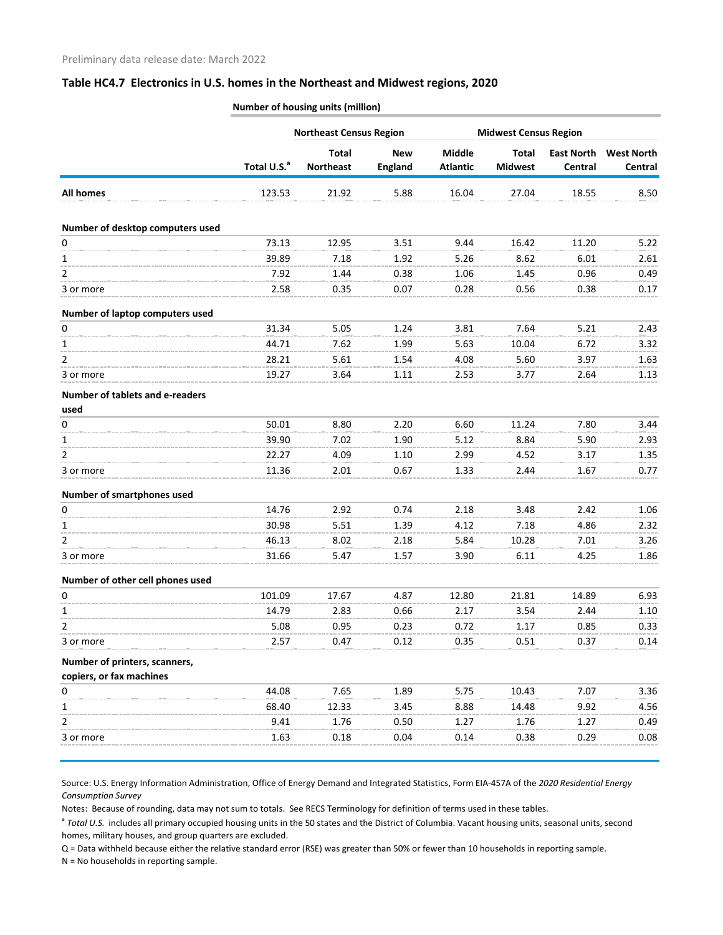|                                         |                         | <b>Northeast Census Region</b>   |                              |                           | <b>Midwest Census Region</b>   |                              |                              |
|-----------------------------------------|-------------------------|----------------------------------|------------------------------|---------------------------|--------------------------------|------------------------------|------------------------------|
|                                         | Total U.S. <sup>a</sup> | <b>Total</b><br><b>Northeast</b> | <b>New</b><br><b>England</b> | Middle<br><b>Atlantic</b> | <b>Total</b><br><b>Midwest</b> | <b>East North</b><br>Central | <b>West North</b><br>Central |
| <b>All homes</b>                        | 123.53                  | 21.92                            | 5.88                         | 16.04                     | 27.04                          | 18.55                        | 8.50                         |
| Number of desktop computers used        |                         |                                  |                              |                           |                                |                              |                              |
| $\pmb{0}$                               | 73.13                   | 12.95                            | 3.51                         | 9.44                      | 16.42                          | 11.20                        | 5.22                         |
| 1                                       | 39.89                   | 7.18                             | 1.92                         | 5.26                      | 8.62                           | 6.01                         | 2.61                         |
| 2                                       | 7.92                    | 1.44                             | 0.38                         | 1.06                      | 1.45                           | 0.96                         | 0.49                         |
| 3 or more                               | 2.58                    | 0.35                             | 0.07                         | 0.28                      | 0.56                           | 0.38                         | 0.17                         |
| Number of laptop computers used         |                         |                                  |                              |                           |                                |                              |                              |
| 0                                       | 31.34                   | 5.05                             | 1.24                         | 3.81                      | 7.64                           | 5.21                         | 2.43                         |
| 1                                       | 44.71                   | 7.62                             | 1.99                         | 5.63                      | 10.04                          | 6.72                         | 3.32                         |
| 2                                       | 28.21                   | 5.61                             | 1.54                         | 4.08                      | 5.60                           | 3.97                         | 1.63                         |
| 3 or more                               | 19.27                   | 3.64                             | 1.11                         | 2.53                      | 3.77                           | 2.64                         | 1.13                         |
| Number of tablets and e-readers<br>used |                         |                                  |                              |                           |                                |                              |                              |
| 0                                       | 50.01                   | 8.80                             | 2.20                         | 6.60                      | 11.24                          | 7.80                         | 3.44                         |
| 1                                       | 39.90                   | 7.02                             | 1.90                         | 5.12                      | 8.84                           | 5.90                         | 2.93                         |
| 2                                       | 22.27                   | 4.09                             | 1.10                         | 2.99                      | 4.52                           | 3.17                         | 1.35                         |
| 3 or more                               | 11.36                   | 2.01                             | 0.67                         | 1.33                      | 2.44                           | 1.67                         | 0.77                         |
| Number of smartphones used              |                         |                                  |                              |                           |                                |                              |                              |
| 0                                       | 14.76                   | 2.92                             | 0.74                         | 2.18                      | 3.48                           | 2.42                         | 1.06                         |
| 1                                       | 30.98                   | 5.51                             | 1.39                         | 4.12                      | 7.18                           | 4.86                         | 2.32                         |
| 2                                       | 46.13                   | 8.02                             | 2.18                         | 5.84                      | 10.28                          | 7.01                         | 3.26                         |
| 3 or more                               | 31.66                   | 5.47                             | 1.57                         | 3.90                      | 6.11                           | 4.25                         | 1.86                         |
| Number of other cell phones used        |                         |                                  |                              |                           |                                |                              |                              |
| 0                                       | 101.09                  | 17.67                            | 4.87                         | 12.80                     | 21.81                          | 14.89                        | 6.93                         |
| 1                                       | 14.79                   | 2.83                             | 0.66                         | 2.17                      | 3.54                           | 2.44                         | 1.10                         |
| $\overline{2}$                          | 5.08                    | 0.95                             | 0.23                         | 0.72                      | 1.17                           | 0.85                         | 0.33                         |
| 3 or more                               | 2.57                    | 0.47                             | 0.12                         | 0.35                      | 0.51                           | 0.37                         | 0.14                         |
| Number of printers, scanners,           |                         |                                  |                              |                           |                                |                              |                              |
| copiers, or fax machines                |                         |                                  |                              |                           |                                |                              |                              |
| 0                                       | 44.08                   | 7.65                             | 1.89                         | 5.75                      | 10.43                          | 7.07                         | 3.36                         |
| 1                                       | 68.40                   | 12.33                            | 3.45                         | 8.88                      | 14.48                          | 9.92                         | 4.56                         |
| $\overline{2}$                          | 9.41                    | 1.76                             | 0.50                         | 1.27                      | 1.76                           | 1.27                         | 0.49                         |
| 3 or more                               | 1.63                    | 0.18                             | 0.04                         | 0.14                      | 0.38                           | 0.29                         | 0.08                         |

**Number of housing units (million)**

Source: U.S. Energy Information Administration, Office of Energy Demand and Integrated Statistics, Form EIA-457A of the *2020 Residential Energy Consumption Survey*

Notes: Because of rounding, data may not sum to totals. See RECS Terminology for definition of terms used in these tables.

<sup>a</sup> Total U.S. includes all primary occupied housing units in the 50 states and the District of Columbia. Vacant housing units, seasonal units, second homes, military houses, and group quarters are excluded.

Q = Data withheld because either the relative standard error (RSE) was greater than 50% or fewer than 10 households in reporting sample.

N = No households in reporting sample.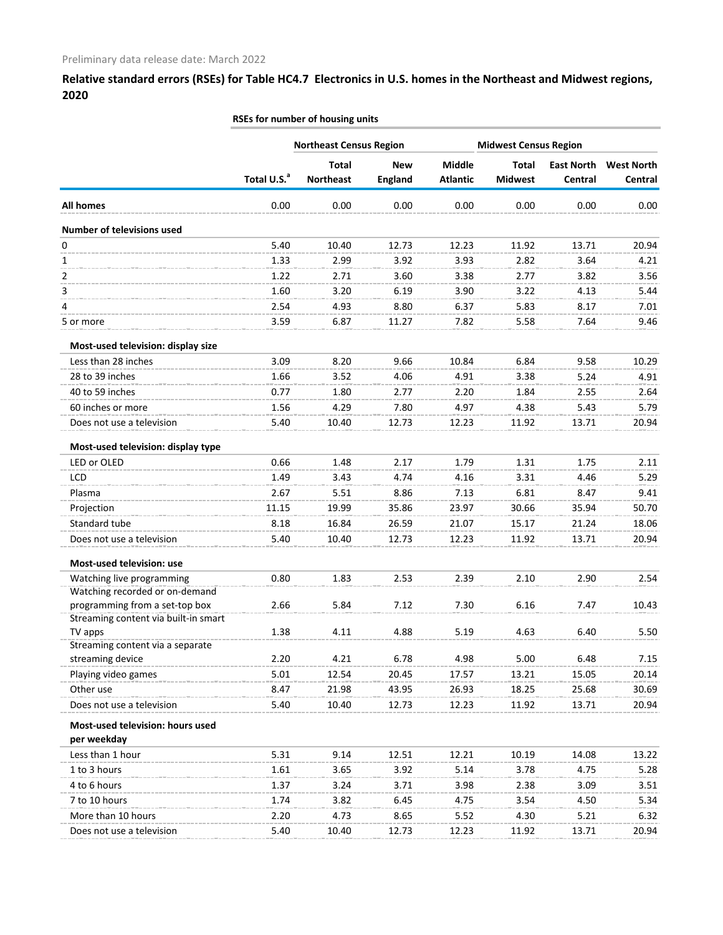| <b>Middle</b><br><b>Total</b><br><b>New</b><br><b>Total</b><br><b>East North</b><br>Total U.S. <sup>a</sup><br><b>Northeast</b><br><b>England</b><br><b>Atlantic</b><br><b>Midwest</b><br>Central<br><b>All homes</b><br>0.00<br>0.00<br>0.00<br>0.00<br>0.00<br>0.00<br>Number of televisions used<br>0<br>5.40<br>10.40<br>12.73<br>12.23<br>11.92<br>13.71<br>1.33<br>2.99<br>3.92<br>3.93<br>2.82<br>1<br>3.64<br>2<br>1.22<br>3.38<br>2.77<br>3.82<br>2.71<br>3.60<br>3<br>1.60<br>3.20<br>3.90<br>3.22<br>4.13<br>6.19<br>4<br>2.54<br>8.80<br>5.83<br>4.93<br>6.37<br>8.17<br>7.82<br>5.58<br>3.59<br>6.87<br>11.27<br>7.64<br>5 or more<br>Most-used television: display size<br>Less than 28 inches<br>3.09<br>8.20<br>9.58<br>9.66<br>10.84<br>6.84<br>28 to 39 inches<br>4.91<br>1.66<br>4.06<br>3.38<br>5.24<br>3.52<br>40 to 59 inches<br>0.77<br>1.84<br>1.80<br>2.77<br>2.20<br>2.55<br>60 inches or more<br>1.56<br>4.29<br>4.97<br>4.38<br>5.43<br>7.80<br>Does not use a television<br>5.40<br>12.73<br>12.23<br>11.92<br>10.40<br>13.71<br>Most-used television: display type<br>LED or OLED<br>0.66<br>1.48<br>2.17<br>1.79<br>1.31<br>1.75<br>LCD<br>1.49<br>4.16<br>3.31<br>3.43<br>4.74<br>4.46<br>Plasma<br>2.67<br>7.13<br>6.81<br>5.51<br>8.86<br>8.47<br>23.97<br>Projection<br>11.15<br>19.99<br>35.86<br>30.66<br>35.94<br>Standard tube<br>8.18<br>16.84<br>26.59<br>21.07<br>15.17<br>21.24<br>Does not use a television<br>5.40<br>10.40<br>12.73<br>12.23<br>11.92<br>13.71<br>Most-used television: use<br>Watching live programming<br>2.90<br>0.80<br>1.83<br>2.53<br>2.39<br>2.10<br>Watching recorded or on-demand<br>2.66<br>5.84<br>programming from a set-top box<br>7.12<br>7.30<br>6.16<br>7.47<br>Streaming content via built-in smart<br>1.38<br>TV apps<br>4.11<br>4.88<br>5.19<br>4.63<br>6.40<br>Streaming content via a separate<br>streaming device<br>2.20<br>4.21<br>5.00<br>6.78<br>4.98<br>6.48<br>Playing video games<br>5.01<br>12.54<br>13.21<br>15.05<br>20.45<br>17.57<br>Other use<br>8.47<br>26.93<br>18.25<br>21.98<br>43.95<br>25.68<br>5.40<br>Does not use a television<br>10.40<br>12.73<br>12.23<br>11.92<br>13.71<br>Most-used television: hours used<br>per weekday<br>Less than 1 hour<br>5.31<br>9.14<br>12.21<br>12.51<br>10.19<br>14.08<br>1 to 3 hours<br>1.61<br>3.65<br>3.92<br>5.14<br>3.78<br>4.75<br>4 to 6 hours<br>1.37<br>3.98<br>3.24<br>3.71<br>2.38<br>3.09<br>7 to 10 hours<br>3.82<br>3.54<br>1.74<br>6.45<br>4.75<br>4.50<br>More than 10 hours<br>2.20<br>4.30<br>4.73<br>8.65<br>5.52<br>5.21 |                           | <b>Northeast Census Region</b> |       | <b>Midwest Census Region</b> |       |       |                              |
|-----------------------------------------------------------------------------------------------------------------------------------------------------------------------------------------------------------------------------------------------------------------------------------------------------------------------------------------------------------------------------------------------------------------------------------------------------------------------------------------------------------------------------------------------------------------------------------------------------------------------------------------------------------------------------------------------------------------------------------------------------------------------------------------------------------------------------------------------------------------------------------------------------------------------------------------------------------------------------------------------------------------------------------------------------------------------------------------------------------------------------------------------------------------------------------------------------------------------------------------------------------------------------------------------------------------------------------------------------------------------------------------------------------------------------------------------------------------------------------------------------------------------------------------------------------------------------------------------------------------------------------------------------------------------------------------------------------------------------------------------------------------------------------------------------------------------------------------------------------------------------------------------------------------------------------------------------------------------------------------------------------------------------------------------------------------------------------------------------------------------------------------------------------------------------------------------------------------------------------------------------------------------------------------------------------------------------------------------------------------------------------------------------------------------------------------------------------------------------------------------------------------------------------------------------------------------------------------|---------------------------|--------------------------------|-------|------------------------------|-------|-------|------------------------------|
|                                                                                                                                                                                                                                                                                                                                                                                                                                                                                                                                                                                                                                                                                                                                                                                                                                                                                                                                                                                                                                                                                                                                                                                                                                                                                                                                                                                                                                                                                                                                                                                                                                                                                                                                                                                                                                                                                                                                                                                                                                                                                                                                                                                                                                                                                                                                                                                                                                                                                                                                                                                         |                           |                                |       |                              |       |       | <b>West North</b><br>Central |
|                                                                                                                                                                                                                                                                                                                                                                                                                                                                                                                                                                                                                                                                                                                                                                                                                                                                                                                                                                                                                                                                                                                                                                                                                                                                                                                                                                                                                                                                                                                                                                                                                                                                                                                                                                                                                                                                                                                                                                                                                                                                                                                                                                                                                                                                                                                                                                                                                                                                                                                                                                                         |                           |                                |       |                              |       |       | 0.00                         |
|                                                                                                                                                                                                                                                                                                                                                                                                                                                                                                                                                                                                                                                                                                                                                                                                                                                                                                                                                                                                                                                                                                                                                                                                                                                                                                                                                                                                                                                                                                                                                                                                                                                                                                                                                                                                                                                                                                                                                                                                                                                                                                                                                                                                                                                                                                                                                                                                                                                                                                                                                                                         |                           |                                |       |                              |       |       |                              |
|                                                                                                                                                                                                                                                                                                                                                                                                                                                                                                                                                                                                                                                                                                                                                                                                                                                                                                                                                                                                                                                                                                                                                                                                                                                                                                                                                                                                                                                                                                                                                                                                                                                                                                                                                                                                                                                                                                                                                                                                                                                                                                                                                                                                                                                                                                                                                                                                                                                                                                                                                                                         |                           |                                |       |                              |       |       |                              |
|                                                                                                                                                                                                                                                                                                                                                                                                                                                                                                                                                                                                                                                                                                                                                                                                                                                                                                                                                                                                                                                                                                                                                                                                                                                                                                                                                                                                                                                                                                                                                                                                                                                                                                                                                                                                                                                                                                                                                                                                                                                                                                                                                                                                                                                                                                                                                                                                                                                                                                                                                                                         |                           |                                |       |                              |       |       | 20.94                        |
|                                                                                                                                                                                                                                                                                                                                                                                                                                                                                                                                                                                                                                                                                                                                                                                                                                                                                                                                                                                                                                                                                                                                                                                                                                                                                                                                                                                                                                                                                                                                                                                                                                                                                                                                                                                                                                                                                                                                                                                                                                                                                                                                                                                                                                                                                                                                                                                                                                                                                                                                                                                         |                           |                                |       |                              |       |       | 4.21                         |
|                                                                                                                                                                                                                                                                                                                                                                                                                                                                                                                                                                                                                                                                                                                                                                                                                                                                                                                                                                                                                                                                                                                                                                                                                                                                                                                                                                                                                                                                                                                                                                                                                                                                                                                                                                                                                                                                                                                                                                                                                                                                                                                                                                                                                                                                                                                                                                                                                                                                                                                                                                                         |                           |                                |       |                              |       |       | 3.56                         |
|                                                                                                                                                                                                                                                                                                                                                                                                                                                                                                                                                                                                                                                                                                                                                                                                                                                                                                                                                                                                                                                                                                                                                                                                                                                                                                                                                                                                                                                                                                                                                                                                                                                                                                                                                                                                                                                                                                                                                                                                                                                                                                                                                                                                                                                                                                                                                                                                                                                                                                                                                                                         |                           |                                |       |                              |       |       | 5.44                         |
|                                                                                                                                                                                                                                                                                                                                                                                                                                                                                                                                                                                                                                                                                                                                                                                                                                                                                                                                                                                                                                                                                                                                                                                                                                                                                                                                                                                                                                                                                                                                                                                                                                                                                                                                                                                                                                                                                                                                                                                                                                                                                                                                                                                                                                                                                                                                                                                                                                                                                                                                                                                         |                           |                                |       |                              |       |       | 7.01                         |
|                                                                                                                                                                                                                                                                                                                                                                                                                                                                                                                                                                                                                                                                                                                                                                                                                                                                                                                                                                                                                                                                                                                                                                                                                                                                                                                                                                                                                                                                                                                                                                                                                                                                                                                                                                                                                                                                                                                                                                                                                                                                                                                                                                                                                                                                                                                                                                                                                                                                                                                                                                                         |                           |                                |       |                              |       |       | 9.46                         |
|                                                                                                                                                                                                                                                                                                                                                                                                                                                                                                                                                                                                                                                                                                                                                                                                                                                                                                                                                                                                                                                                                                                                                                                                                                                                                                                                                                                                                                                                                                                                                                                                                                                                                                                                                                                                                                                                                                                                                                                                                                                                                                                                                                                                                                                                                                                                                                                                                                                                                                                                                                                         |                           |                                |       |                              |       |       |                              |
|                                                                                                                                                                                                                                                                                                                                                                                                                                                                                                                                                                                                                                                                                                                                                                                                                                                                                                                                                                                                                                                                                                                                                                                                                                                                                                                                                                                                                                                                                                                                                                                                                                                                                                                                                                                                                                                                                                                                                                                                                                                                                                                                                                                                                                                                                                                                                                                                                                                                                                                                                                                         |                           |                                |       |                              |       |       | 10.29                        |
|                                                                                                                                                                                                                                                                                                                                                                                                                                                                                                                                                                                                                                                                                                                                                                                                                                                                                                                                                                                                                                                                                                                                                                                                                                                                                                                                                                                                                                                                                                                                                                                                                                                                                                                                                                                                                                                                                                                                                                                                                                                                                                                                                                                                                                                                                                                                                                                                                                                                                                                                                                                         |                           |                                |       |                              |       |       | 4.91                         |
|                                                                                                                                                                                                                                                                                                                                                                                                                                                                                                                                                                                                                                                                                                                                                                                                                                                                                                                                                                                                                                                                                                                                                                                                                                                                                                                                                                                                                                                                                                                                                                                                                                                                                                                                                                                                                                                                                                                                                                                                                                                                                                                                                                                                                                                                                                                                                                                                                                                                                                                                                                                         |                           |                                |       |                              |       |       | 2.64                         |
|                                                                                                                                                                                                                                                                                                                                                                                                                                                                                                                                                                                                                                                                                                                                                                                                                                                                                                                                                                                                                                                                                                                                                                                                                                                                                                                                                                                                                                                                                                                                                                                                                                                                                                                                                                                                                                                                                                                                                                                                                                                                                                                                                                                                                                                                                                                                                                                                                                                                                                                                                                                         |                           |                                |       |                              |       |       | 5.79                         |
|                                                                                                                                                                                                                                                                                                                                                                                                                                                                                                                                                                                                                                                                                                                                                                                                                                                                                                                                                                                                                                                                                                                                                                                                                                                                                                                                                                                                                                                                                                                                                                                                                                                                                                                                                                                                                                                                                                                                                                                                                                                                                                                                                                                                                                                                                                                                                                                                                                                                                                                                                                                         |                           |                                |       |                              |       |       | 20.94                        |
|                                                                                                                                                                                                                                                                                                                                                                                                                                                                                                                                                                                                                                                                                                                                                                                                                                                                                                                                                                                                                                                                                                                                                                                                                                                                                                                                                                                                                                                                                                                                                                                                                                                                                                                                                                                                                                                                                                                                                                                                                                                                                                                                                                                                                                                                                                                                                                                                                                                                                                                                                                                         |                           |                                |       |                              |       |       |                              |
|                                                                                                                                                                                                                                                                                                                                                                                                                                                                                                                                                                                                                                                                                                                                                                                                                                                                                                                                                                                                                                                                                                                                                                                                                                                                                                                                                                                                                                                                                                                                                                                                                                                                                                                                                                                                                                                                                                                                                                                                                                                                                                                                                                                                                                                                                                                                                                                                                                                                                                                                                                                         |                           |                                |       |                              |       |       | 2.11                         |
|                                                                                                                                                                                                                                                                                                                                                                                                                                                                                                                                                                                                                                                                                                                                                                                                                                                                                                                                                                                                                                                                                                                                                                                                                                                                                                                                                                                                                                                                                                                                                                                                                                                                                                                                                                                                                                                                                                                                                                                                                                                                                                                                                                                                                                                                                                                                                                                                                                                                                                                                                                                         |                           |                                |       |                              |       |       | 5.29                         |
|                                                                                                                                                                                                                                                                                                                                                                                                                                                                                                                                                                                                                                                                                                                                                                                                                                                                                                                                                                                                                                                                                                                                                                                                                                                                                                                                                                                                                                                                                                                                                                                                                                                                                                                                                                                                                                                                                                                                                                                                                                                                                                                                                                                                                                                                                                                                                                                                                                                                                                                                                                                         |                           |                                |       |                              |       |       | 9.41                         |
|                                                                                                                                                                                                                                                                                                                                                                                                                                                                                                                                                                                                                                                                                                                                                                                                                                                                                                                                                                                                                                                                                                                                                                                                                                                                                                                                                                                                                                                                                                                                                                                                                                                                                                                                                                                                                                                                                                                                                                                                                                                                                                                                                                                                                                                                                                                                                                                                                                                                                                                                                                                         |                           |                                |       |                              |       |       | 50.70                        |
|                                                                                                                                                                                                                                                                                                                                                                                                                                                                                                                                                                                                                                                                                                                                                                                                                                                                                                                                                                                                                                                                                                                                                                                                                                                                                                                                                                                                                                                                                                                                                                                                                                                                                                                                                                                                                                                                                                                                                                                                                                                                                                                                                                                                                                                                                                                                                                                                                                                                                                                                                                                         |                           |                                |       |                              |       |       | 18.06                        |
|                                                                                                                                                                                                                                                                                                                                                                                                                                                                                                                                                                                                                                                                                                                                                                                                                                                                                                                                                                                                                                                                                                                                                                                                                                                                                                                                                                                                                                                                                                                                                                                                                                                                                                                                                                                                                                                                                                                                                                                                                                                                                                                                                                                                                                                                                                                                                                                                                                                                                                                                                                                         |                           |                                |       |                              |       |       | 20.94                        |
|                                                                                                                                                                                                                                                                                                                                                                                                                                                                                                                                                                                                                                                                                                                                                                                                                                                                                                                                                                                                                                                                                                                                                                                                                                                                                                                                                                                                                                                                                                                                                                                                                                                                                                                                                                                                                                                                                                                                                                                                                                                                                                                                                                                                                                                                                                                                                                                                                                                                                                                                                                                         |                           |                                |       |                              |       |       |                              |
|                                                                                                                                                                                                                                                                                                                                                                                                                                                                                                                                                                                                                                                                                                                                                                                                                                                                                                                                                                                                                                                                                                                                                                                                                                                                                                                                                                                                                                                                                                                                                                                                                                                                                                                                                                                                                                                                                                                                                                                                                                                                                                                                                                                                                                                                                                                                                                                                                                                                                                                                                                                         |                           |                                |       |                              |       |       |                              |
|                                                                                                                                                                                                                                                                                                                                                                                                                                                                                                                                                                                                                                                                                                                                                                                                                                                                                                                                                                                                                                                                                                                                                                                                                                                                                                                                                                                                                                                                                                                                                                                                                                                                                                                                                                                                                                                                                                                                                                                                                                                                                                                                                                                                                                                                                                                                                                                                                                                                                                                                                                                         |                           |                                |       |                              |       |       | 2.54                         |
|                                                                                                                                                                                                                                                                                                                                                                                                                                                                                                                                                                                                                                                                                                                                                                                                                                                                                                                                                                                                                                                                                                                                                                                                                                                                                                                                                                                                                                                                                                                                                                                                                                                                                                                                                                                                                                                                                                                                                                                                                                                                                                                                                                                                                                                                                                                                                                                                                                                                                                                                                                                         |                           |                                |       |                              |       |       | 10.43                        |
|                                                                                                                                                                                                                                                                                                                                                                                                                                                                                                                                                                                                                                                                                                                                                                                                                                                                                                                                                                                                                                                                                                                                                                                                                                                                                                                                                                                                                                                                                                                                                                                                                                                                                                                                                                                                                                                                                                                                                                                                                                                                                                                                                                                                                                                                                                                                                                                                                                                                                                                                                                                         |                           |                                |       |                              |       |       |                              |
|                                                                                                                                                                                                                                                                                                                                                                                                                                                                                                                                                                                                                                                                                                                                                                                                                                                                                                                                                                                                                                                                                                                                                                                                                                                                                                                                                                                                                                                                                                                                                                                                                                                                                                                                                                                                                                                                                                                                                                                                                                                                                                                                                                                                                                                                                                                                                                                                                                                                                                                                                                                         |                           |                                |       |                              |       |       | 5.50                         |
|                                                                                                                                                                                                                                                                                                                                                                                                                                                                                                                                                                                                                                                                                                                                                                                                                                                                                                                                                                                                                                                                                                                                                                                                                                                                                                                                                                                                                                                                                                                                                                                                                                                                                                                                                                                                                                                                                                                                                                                                                                                                                                                                                                                                                                                                                                                                                                                                                                                                                                                                                                                         |                           |                                |       |                              |       |       |                              |
|                                                                                                                                                                                                                                                                                                                                                                                                                                                                                                                                                                                                                                                                                                                                                                                                                                                                                                                                                                                                                                                                                                                                                                                                                                                                                                                                                                                                                                                                                                                                                                                                                                                                                                                                                                                                                                                                                                                                                                                                                                                                                                                                                                                                                                                                                                                                                                                                                                                                                                                                                                                         |                           |                                |       |                              |       |       | 7.15                         |
|                                                                                                                                                                                                                                                                                                                                                                                                                                                                                                                                                                                                                                                                                                                                                                                                                                                                                                                                                                                                                                                                                                                                                                                                                                                                                                                                                                                                                                                                                                                                                                                                                                                                                                                                                                                                                                                                                                                                                                                                                                                                                                                                                                                                                                                                                                                                                                                                                                                                                                                                                                                         |                           |                                |       |                              |       |       | 20.14                        |
|                                                                                                                                                                                                                                                                                                                                                                                                                                                                                                                                                                                                                                                                                                                                                                                                                                                                                                                                                                                                                                                                                                                                                                                                                                                                                                                                                                                                                                                                                                                                                                                                                                                                                                                                                                                                                                                                                                                                                                                                                                                                                                                                                                                                                                                                                                                                                                                                                                                                                                                                                                                         |                           |                                |       |                              |       |       | 30.69                        |
|                                                                                                                                                                                                                                                                                                                                                                                                                                                                                                                                                                                                                                                                                                                                                                                                                                                                                                                                                                                                                                                                                                                                                                                                                                                                                                                                                                                                                                                                                                                                                                                                                                                                                                                                                                                                                                                                                                                                                                                                                                                                                                                                                                                                                                                                                                                                                                                                                                                                                                                                                                                         |                           |                                |       |                              |       |       | 20.94                        |
|                                                                                                                                                                                                                                                                                                                                                                                                                                                                                                                                                                                                                                                                                                                                                                                                                                                                                                                                                                                                                                                                                                                                                                                                                                                                                                                                                                                                                                                                                                                                                                                                                                                                                                                                                                                                                                                                                                                                                                                                                                                                                                                                                                                                                                                                                                                                                                                                                                                                                                                                                                                         |                           |                                |       |                              |       |       |                              |
|                                                                                                                                                                                                                                                                                                                                                                                                                                                                                                                                                                                                                                                                                                                                                                                                                                                                                                                                                                                                                                                                                                                                                                                                                                                                                                                                                                                                                                                                                                                                                                                                                                                                                                                                                                                                                                                                                                                                                                                                                                                                                                                                                                                                                                                                                                                                                                                                                                                                                                                                                                                         |                           |                                |       |                              |       |       | 13.22                        |
|                                                                                                                                                                                                                                                                                                                                                                                                                                                                                                                                                                                                                                                                                                                                                                                                                                                                                                                                                                                                                                                                                                                                                                                                                                                                                                                                                                                                                                                                                                                                                                                                                                                                                                                                                                                                                                                                                                                                                                                                                                                                                                                                                                                                                                                                                                                                                                                                                                                                                                                                                                                         |                           |                                |       |                              |       |       | 5.28                         |
|                                                                                                                                                                                                                                                                                                                                                                                                                                                                                                                                                                                                                                                                                                                                                                                                                                                                                                                                                                                                                                                                                                                                                                                                                                                                                                                                                                                                                                                                                                                                                                                                                                                                                                                                                                                                                                                                                                                                                                                                                                                                                                                                                                                                                                                                                                                                                                                                                                                                                                                                                                                         |                           |                                |       |                              |       |       | 3.51                         |
|                                                                                                                                                                                                                                                                                                                                                                                                                                                                                                                                                                                                                                                                                                                                                                                                                                                                                                                                                                                                                                                                                                                                                                                                                                                                                                                                                                                                                                                                                                                                                                                                                                                                                                                                                                                                                                                                                                                                                                                                                                                                                                                                                                                                                                                                                                                                                                                                                                                                                                                                                                                         |                           |                                |       |                              |       |       | 5.34                         |
|                                                                                                                                                                                                                                                                                                                                                                                                                                                                                                                                                                                                                                                                                                                                                                                                                                                                                                                                                                                                                                                                                                                                                                                                                                                                                                                                                                                                                                                                                                                                                                                                                                                                                                                                                                                                                                                                                                                                                                                                                                                                                                                                                                                                                                                                                                                                                                                                                                                                                                                                                                                         |                           |                                |       |                              |       |       | 6.32                         |
| 5.40<br>10.40                                                                                                                                                                                                                                                                                                                                                                                                                                                                                                                                                                                                                                                                                                                                                                                                                                                                                                                                                                                                                                                                                                                                                                                                                                                                                                                                                                                                                                                                                                                                                                                                                                                                                                                                                                                                                                                                                                                                                                                                                                                                                                                                                                                                                                                                                                                                                                                                                                                                                                                                                                           | Does not use a television |                                | 12.73 | 12.23                        | 11.92 | 13.71 | 20.94                        |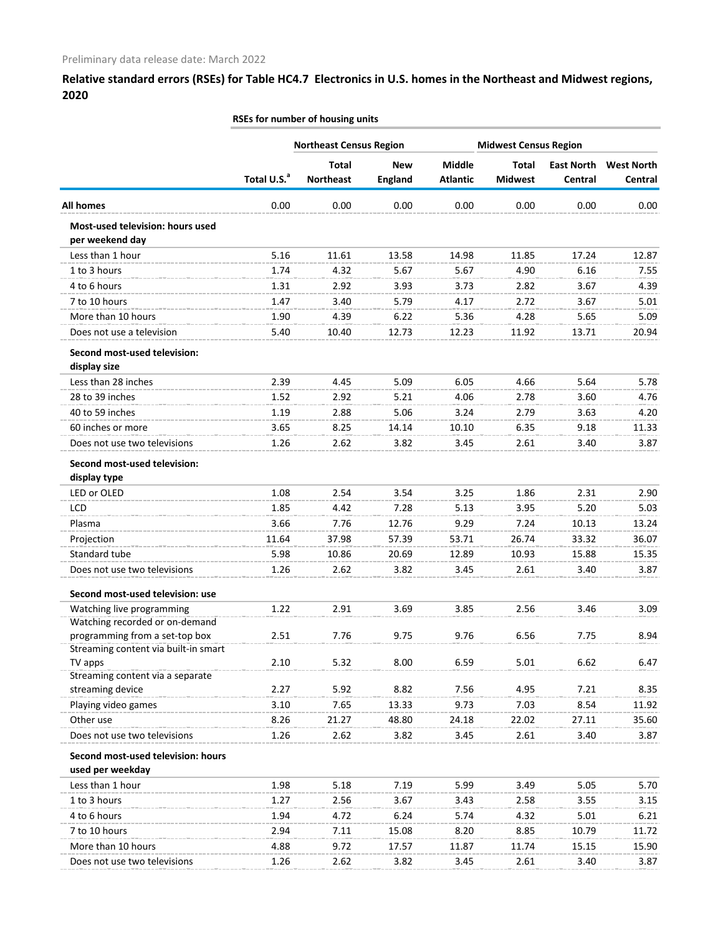|                                                                        |                         | <b>Northeast Census Region</b> |                |                 | <b>Midwest Census Region</b> |                   |                   |
|------------------------------------------------------------------------|-------------------------|--------------------------------|----------------|-----------------|------------------------------|-------------------|-------------------|
|                                                                        |                         | Total                          | <b>New</b>     | <b>Middle</b>   | <b>Total</b>                 | <b>East North</b> | <b>West North</b> |
|                                                                        | Total U.S. <sup>a</sup> | <b>Northeast</b>               | <b>England</b> | <b>Atlantic</b> | <b>Midwest</b>               | Central           | Central           |
| <b>All homes</b>                                                       | 0.00                    | 0.00                           | 0.00           | 0.00            | 0.00                         | 0.00              | 0.00              |
| Most-used television: hours used<br>per weekend day                    |                         |                                |                |                 |                              |                   |                   |
| Less than 1 hour                                                       | 5.16                    | 11.61                          | 13.58          | 14.98           | 11.85                        | 17.24             | 12.87             |
| 1 to 3 hours                                                           | 1.74                    | 4.32                           | 5.67           | 5.67            | 4.90                         | 6.16              | 7.55              |
| 4 to 6 hours                                                           | 1.31                    | 2.92                           | 3.93           | 3.73            | 2.82                         | 3.67              | 4.39              |
| 7 to 10 hours                                                          | 1.47                    | 3.40                           | 5.79           | 4.17            | 2.72                         | 3.67              | 5.01              |
| More than 10 hours                                                     | 1.90                    | 4.39                           | 6.22           | 5.36            | 4.28                         | 5.65              | 5.09              |
| Does not use a television                                              | 5.40                    | 10.40                          | 12.73          | 12.23           | 11.92                        | 13.71             | 20.94             |
| Second most-used television:<br>display size                           |                         |                                |                |                 |                              |                   |                   |
| Less than 28 inches                                                    | 2.39                    | 4.45                           | 5.09           | 6.05            | 4.66                         | 5.64              | 5.78              |
| 28 to 39 inches                                                        | 1.52                    | 2.92                           | 5.21           | 4.06            | 2.78                         | 3.60              | 4.76              |
| 40 to 59 inches                                                        | 1.19                    | 2.88                           | 5.06           | 3.24            | 2.79                         | 3.63              | 4.20              |
| 60 inches or more                                                      | 3.65                    | 8.25                           | 14.14          | 10.10           | 6.35                         | 9.18              | 11.33             |
| Does not use two televisions                                           | 1.26                    | 2.62                           | 3.82           | 3.45            | 2.61                         | 3.40              | 3.87              |
| Second most-used television:                                           |                         |                                |                |                 |                              |                   |                   |
| display type                                                           |                         |                                |                |                 |                              |                   |                   |
| LED or OLED                                                            | 1.08                    | 2.54                           | 3.54           | 3.25            | 1.86                         | 2.31              | 2.90              |
| <b>LCD</b>                                                             | 1.85                    | 4.42                           | 7.28           | 5.13            | 3.95                         | 5.20              | 5.03              |
| Plasma                                                                 | 3.66                    | 7.76                           | 12.76          | 9.29            | 7.24                         | 10.13             | 13.24             |
| Projection                                                             | 11.64                   | 37.98                          | 57.39          | 53.71           | 26.74                        | 33.32             | 36.07             |
| Standard tube                                                          | 5.98                    | 10.86                          | 20.69          | 12.89           | 10.93                        | 15.88             | 15.35             |
| Does not use two televisions                                           | 1.26                    | 2.62                           | 3.82           | 3.45            | 2.61                         | 3.40              | 3.87              |
| Second most-used television: use                                       |                         |                                |                |                 |                              |                   |                   |
| Watching live programming                                              | 1.22                    | 2.91                           | 3.69           | 3.85            | 2.56                         | 3.46              | 3.09              |
| Watching recorded or on-demand                                         |                         |                                |                |                 |                              |                   |                   |
| programming from a set-top box<br>Streaming content via built-in smart | 2.51                    | 7.76                           | 9.75           | 9.76            | 6.56                         | 7.75              | 8.94              |
| TV apps                                                                | 2.10                    | 5.32                           | 8.00           | 6.59            | 5.01                         | 6.62              | 6.47              |
| Streaming content via a separate                                       |                         |                                |                |                 |                              |                   |                   |
| streaming device                                                       | 2.27                    | 5.92                           | 8.82           | 7.56            | 4.95                         | 7.21              | 8.35              |
| Playing video games                                                    | 3.10                    | 7.65                           | 13.33          | 9.73            | 7.03                         | 8.54              | 11.92             |
| Other use                                                              | 8.26                    | 21.27                          | 48.80          | 24.18           | 22.02                        | 27.11             | 35.60             |
| Does not use two televisions                                           | 1.26                    | 2.62                           | 3.82           | 3.45            | 2.61                         | 3.40              | 3.87              |
| Second most-used television: hours                                     |                         |                                |                |                 |                              |                   |                   |
| used per weekday                                                       |                         |                                |                |                 |                              |                   |                   |
| Less than 1 hour                                                       | 1.98                    | 5.18                           | 7.19           | 5.99            | 3.49                         | 5.05              | 5.70              |
| 1 to 3 hours                                                           | 1.27                    | 2.56                           | 3.67           | 3.43            | 2.58                         | 3.55              | 3.15              |
| 4 to 6 hours                                                           | 1.94                    | 4.72                           | 6.24           | 5.74            | 4.32                         | 5.01              | 6.21              |
| 7 to 10 hours                                                          | 2.94                    | 7.11                           | 15.08          | 8.20            | 8.85                         | 10.79             | 11.72             |
| More than 10 hours                                                     | 4.88                    | 9.72                           | 17.57          | 11.87           | 11.74                        | 15.15             | 15.90             |
| Does not use two televisions                                           | 1.26                    | 2.62                           | 3.82           | 3.45            | 2.61                         | 3.40              | 3.87              |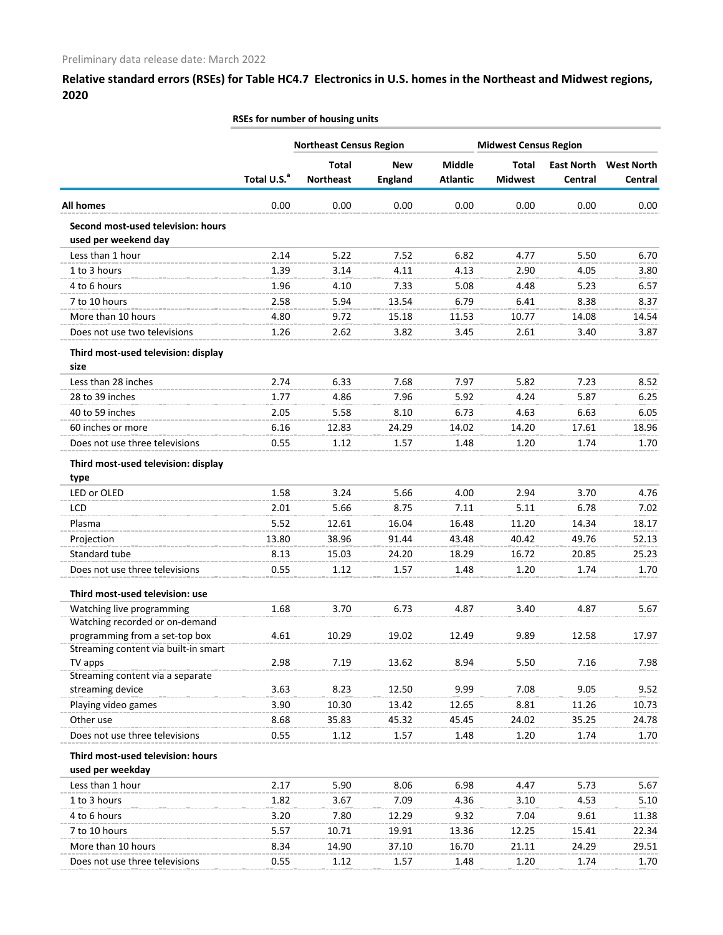| <b>Northeast Census Region</b><br><b>Midwest Census Region</b><br><b>Middle</b><br><b>Total</b><br><b>New</b><br><b>Total</b><br><b>East North</b><br><b>West North</b><br>Total U.S. <sup>a</sup><br><b>Northeast</b><br><b>Midwest</b><br><b>England</b><br><b>Atlantic</b><br>Central<br>Central<br>0.00<br>0.00<br>0.00<br>0.00<br>0.00<br>0.00<br><b>All homes</b><br>0.00<br>Second most-used television: hours<br>used per weekend day<br>Less than 1 hour<br>2.14<br>5.22<br>6.82<br>5.50<br>7.52<br>4.77<br>6.70<br>1 to 3 hours<br>1.39<br>4.13<br>2.90<br>3.14<br>4.11<br>4.05<br>3.80<br>4 to 6 hours<br>1.96<br>4.10<br>7.33<br>5.08<br>4.48<br>5.23<br>6.57<br>7 to 10 hours<br>2.58<br>6.79<br>6.41<br>5.94<br>13.54<br>8.38<br>8.37<br>More than 10 hours<br>4.80<br>9.72<br>15.18<br>11.53<br>10.77<br>14.08<br>14.54<br>Does not use two televisions<br>2.62<br>3.82<br>3.45<br>2.61<br>1.26<br>3.40<br>3.87<br>Third most-used television: display<br>size<br>Less than 28 inches<br>2.74<br>7.23<br>6.33<br>7.68<br>7.97<br>5.82<br>8.52<br>28 to 39 inches<br>5.92<br>5.87<br>1.77<br>4.86<br>7.96<br>4.24<br>6.25<br>40 to 59 inches<br>2.05<br>5.58<br>8.10<br>6.73<br>4.63<br>6.63<br>6.05<br>60 inches or more<br>6.16<br>24.29<br>14.02<br>14.20<br>17.61<br>18.96<br>12.83<br>Does not use three televisions<br>0.55<br>1.48<br>1.20<br>1.74<br>1.12<br>1.57<br>1.70<br>Third most-used television: display<br>type<br>LED or OLED<br>1.58<br>3.24<br>5.66<br>4.00<br>2.94<br>3.70<br>4.76<br>LCD<br>2.01<br>5.66<br>8.75<br>7.11<br>5.11<br>6.78<br>7.02<br>5.52<br>16.48<br>11.20<br>18.17<br>Plasma<br>12.61<br>16.04<br>14.34<br>13.80<br>Projection<br>38.96<br>91.44<br>43.48<br>40.42<br>49.76<br>52.13<br>Standard tube<br>8.13<br>15.03<br>24.20<br>18.29<br>16.72<br>20.85<br>25.23<br>Does not use three televisions<br>0.55<br>1.57<br>1.48<br>1.20<br>1.70<br>1.12<br>1.74<br>Third most-used television: use<br>Watching live programming<br>1.68<br>3.70<br>6.73<br>4.87<br>4.87<br>5.67<br>3.40<br>Watching recorded or on-demand<br>programming from a set-top box<br>4.61<br>10.29<br>19.02<br>12.49<br>9.89<br>12.58<br>17.97<br>Streaming content via built-in smart<br>TV apps<br>2.98<br>7.19<br>13.62<br>8.94<br>5.50<br>7.16<br>7.98<br>Streaming content via a separate<br>9.05<br>streaming device<br>3.63<br>8.23<br>12.50<br>9.99<br>7.08<br>9.52<br>Playing video games<br>3.90<br>10.30<br>12.65<br>8.81<br>11.26<br>10.73<br>13.42<br>Other use<br>8.68<br>35.83<br>45.32<br>45.45<br>24.02<br>35.25<br>24.78<br>Does not use three televisions<br>0.55<br>1.12<br>1.57<br>1.48<br>1.20<br>1.70<br>1.74<br>Third most-used television: hours<br>used per weekday<br>Less than 1 hour<br>2.17<br>5.90<br>5.73<br>5.67<br>8.06<br>6.98<br>4.47<br>1 to 3 hours<br>4.36<br>1.82<br>7.09<br>3.10<br>4.53<br>5.10<br>3.67<br>4 to 6 hours<br>9.32<br>3.20<br>7.80<br>12.29<br>7.04<br>9.61<br>11.38<br>7 to 10 hours<br>5.57<br>19.91<br>13.36<br>12.25<br>22.34<br>10.71<br>15.41<br>16.70<br>More than 10 hours<br>8.34<br>14.90<br>37.10<br>21.11<br>29.51<br>24.29<br>Does not use three televisions<br>0.55<br>1.12<br>1.57<br>1.48<br>1.20<br>1.74<br>1.70 |  | RSEs for number of housing units |  |  |  |
|-----------------------------------------------------------------------------------------------------------------------------------------------------------------------------------------------------------------------------------------------------------------------------------------------------------------------------------------------------------------------------------------------------------------------------------------------------------------------------------------------------------------------------------------------------------------------------------------------------------------------------------------------------------------------------------------------------------------------------------------------------------------------------------------------------------------------------------------------------------------------------------------------------------------------------------------------------------------------------------------------------------------------------------------------------------------------------------------------------------------------------------------------------------------------------------------------------------------------------------------------------------------------------------------------------------------------------------------------------------------------------------------------------------------------------------------------------------------------------------------------------------------------------------------------------------------------------------------------------------------------------------------------------------------------------------------------------------------------------------------------------------------------------------------------------------------------------------------------------------------------------------------------------------------------------------------------------------------------------------------------------------------------------------------------------------------------------------------------------------------------------------------------------------------------------------------------------------------------------------------------------------------------------------------------------------------------------------------------------------------------------------------------------------------------------------------------------------------------------------------------------------------------------------------------------------------------------------------------------------------------------------------------------------------------------------------------------------------------------------------------------------------------------------------------------------------------------------------------------------------------------------------------------------------------------------------------------------------------------------------------------------------------------------------------------------------------------------------------------------------------------------------------------------------------------------------------------------------------|--|----------------------------------|--|--|--|
|                                                                                                                                                                                                                                                                                                                                                                                                                                                                                                                                                                                                                                                                                                                                                                                                                                                                                                                                                                                                                                                                                                                                                                                                                                                                                                                                                                                                                                                                                                                                                                                                                                                                                                                                                                                                                                                                                                                                                                                                                                                                                                                                                                                                                                                                                                                                                                                                                                                                                                                                                                                                                                                                                                                                                                                                                                                                                                                                                                                                                                                                                                                                                                                                                       |  |                                  |  |  |  |
|                                                                                                                                                                                                                                                                                                                                                                                                                                                                                                                                                                                                                                                                                                                                                                                                                                                                                                                                                                                                                                                                                                                                                                                                                                                                                                                                                                                                                                                                                                                                                                                                                                                                                                                                                                                                                                                                                                                                                                                                                                                                                                                                                                                                                                                                                                                                                                                                                                                                                                                                                                                                                                                                                                                                                                                                                                                                                                                                                                                                                                                                                                                                                                                                                       |  |                                  |  |  |  |
|                                                                                                                                                                                                                                                                                                                                                                                                                                                                                                                                                                                                                                                                                                                                                                                                                                                                                                                                                                                                                                                                                                                                                                                                                                                                                                                                                                                                                                                                                                                                                                                                                                                                                                                                                                                                                                                                                                                                                                                                                                                                                                                                                                                                                                                                                                                                                                                                                                                                                                                                                                                                                                                                                                                                                                                                                                                                                                                                                                                                                                                                                                                                                                                                                       |  |                                  |  |  |  |
|                                                                                                                                                                                                                                                                                                                                                                                                                                                                                                                                                                                                                                                                                                                                                                                                                                                                                                                                                                                                                                                                                                                                                                                                                                                                                                                                                                                                                                                                                                                                                                                                                                                                                                                                                                                                                                                                                                                                                                                                                                                                                                                                                                                                                                                                                                                                                                                                                                                                                                                                                                                                                                                                                                                                                                                                                                                                                                                                                                                                                                                                                                                                                                                                                       |  |                                  |  |  |  |
|                                                                                                                                                                                                                                                                                                                                                                                                                                                                                                                                                                                                                                                                                                                                                                                                                                                                                                                                                                                                                                                                                                                                                                                                                                                                                                                                                                                                                                                                                                                                                                                                                                                                                                                                                                                                                                                                                                                                                                                                                                                                                                                                                                                                                                                                                                                                                                                                                                                                                                                                                                                                                                                                                                                                                                                                                                                                                                                                                                                                                                                                                                                                                                                                                       |  |                                  |  |  |  |
|                                                                                                                                                                                                                                                                                                                                                                                                                                                                                                                                                                                                                                                                                                                                                                                                                                                                                                                                                                                                                                                                                                                                                                                                                                                                                                                                                                                                                                                                                                                                                                                                                                                                                                                                                                                                                                                                                                                                                                                                                                                                                                                                                                                                                                                                                                                                                                                                                                                                                                                                                                                                                                                                                                                                                                                                                                                                                                                                                                                                                                                                                                                                                                                                                       |  |                                  |  |  |  |
|                                                                                                                                                                                                                                                                                                                                                                                                                                                                                                                                                                                                                                                                                                                                                                                                                                                                                                                                                                                                                                                                                                                                                                                                                                                                                                                                                                                                                                                                                                                                                                                                                                                                                                                                                                                                                                                                                                                                                                                                                                                                                                                                                                                                                                                                                                                                                                                                                                                                                                                                                                                                                                                                                                                                                                                                                                                                                                                                                                                                                                                                                                                                                                                                                       |  |                                  |  |  |  |
|                                                                                                                                                                                                                                                                                                                                                                                                                                                                                                                                                                                                                                                                                                                                                                                                                                                                                                                                                                                                                                                                                                                                                                                                                                                                                                                                                                                                                                                                                                                                                                                                                                                                                                                                                                                                                                                                                                                                                                                                                                                                                                                                                                                                                                                                                                                                                                                                                                                                                                                                                                                                                                                                                                                                                                                                                                                                                                                                                                                                                                                                                                                                                                                                                       |  |                                  |  |  |  |
|                                                                                                                                                                                                                                                                                                                                                                                                                                                                                                                                                                                                                                                                                                                                                                                                                                                                                                                                                                                                                                                                                                                                                                                                                                                                                                                                                                                                                                                                                                                                                                                                                                                                                                                                                                                                                                                                                                                                                                                                                                                                                                                                                                                                                                                                                                                                                                                                                                                                                                                                                                                                                                                                                                                                                                                                                                                                                                                                                                                                                                                                                                                                                                                                                       |  |                                  |  |  |  |
|                                                                                                                                                                                                                                                                                                                                                                                                                                                                                                                                                                                                                                                                                                                                                                                                                                                                                                                                                                                                                                                                                                                                                                                                                                                                                                                                                                                                                                                                                                                                                                                                                                                                                                                                                                                                                                                                                                                                                                                                                                                                                                                                                                                                                                                                                                                                                                                                                                                                                                                                                                                                                                                                                                                                                                                                                                                                                                                                                                                                                                                                                                                                                                                                                       |  |                                  |  |  |  |
|                                                                                                                                                                                                                                                                                                                                                                                                                                                                                                                                                                                                                                                                                                                                                                                                                                                                                                                                                                                                                                                                                                                                                                                                                                                                                                                                                                                                                                                                                                                                                                                                                                                                                                                                                                                                                                                                                                                                                                                                                                                                                                                                                                                                                                                                                                                                                                                                                                                                                                                                                                                                                                                                                                                                                                                                                                                                                                                                                                                                                                                                                                                                                                                                                       |  |                                  |  |  |  |
|                                                                                                                                                                                                                                                                                                                                                                                                                                                                                                                                                                                                                                                                                                                                                                                                                                                                                                                                                                                                                                                                                                                                                                                                                                                                                                                                                                                                                                                                                                                                                                                                                                                                                                                                                                                                                                                                                                                                                                                                                                                                                                                                                                                                                                                                                                                                                                                                                                                                                                                                                                                                                                                                                                                                                                                                                                                                                                                                                                                                                                                                                                                                                                                                                       |  |                                  |  |  |  |
|                                                                                                                                                                                                                                                                                                                                                                                                                                                                                                                                                                                                                                                                                                                                                                                                                                                                                                                                                                                                                                                                                                                                                                                                                                                                                                                                                                                                                                                                                                                                                                                                                                                                                                                                                                                                                                                                                                                                                                                                                                                                                                                                                                                                                                                                                                                                                                                                                                                                                                                                                                                                                                                                                                                                                                                                                                                                                                                                                                                                                                                                                                                                                                                                                       |  |                                  |  |  |  |
|                                                                                                                                                                                                                                                                                                                                                                                                                                                                                                                                                                                                                                                                                                                                                                                                                                                                                                                                                                                                                                                                                                                                                                                                                                                                                                                                                                                                                                                                                                                                                                                                                                                                                                                                                                                                                                                                                                                                                                                                                                                                                                                                                                                                                                                                                                                                                                                                                                                                                                                                                                                                                                                                                                                                                                                                                                                                                                                                                                                                                                                                                                                                                                                                                       |  |                                  |  |  |  |
|                                                                                                                                                                                                                                                                                                                                                                                                                                                                                                                                                                                                                                                                                                                                                                                                                                                                                                                                                                                                                                                                                                                                                                                                                                                                                                                                                                                                                                                                                                                                                                                                                                                                                                                                                                                                                                                                                                                                                                                                                                                                                                                                                                                                                                                                                                                                                                                                                                                                                                                                                                                                                                                                                                                                                                                                                                                                                                                                                                                                                                                                                                                                                                                                                       |  |                                  |  |  |  |
|                                                                                                                                                                                                                                                                                                                                                                                                                                                                                                                                                                                                                                                                                                                                                                                                                                                                                                                                                                                                                                                                                                                                                                                                                                                                                                                                                                                                                                                                                                                                                                                                                                                                                                                                                                                                                                                                                                                                                                                                                                                                                                                                                                                                                                                                                                                                                                                                                                                                                                                                                                                                                                                                                                                                                                                                                                                                                                                                                                                                                                                                                                                                                                                                                       |  |                                  |  |  |  |
|                                                                                                                                                                                                                                                                                                                                                                                                                                                                                                                                                                                                                                                                                                                                                                                                                                                                                                                                                                                                                                                                                                                                                                                                                                                                                                                                                                                                                                                                                                                                                                                                                                                                                                                                                                                                                                                                                                                                                                                                                                                                                                                                                                                                                                                                                                                                                                                                                                                                                                                                                                                                                                                                                                                                                                                                                                                                                                                                                                                                                                                                                                                                                                                                                       |  |                                  |  |  |  |
|                                                                                                                                                                                                                                                                                                                                                                                                                                                                                                                                                                                                                                                                                                                                                                                                                                                                                                                                                                                                                                                                                                                                                                                                                                                                                                                                                                                                                                                                                                                                                                                                                                                                                                                                                                                                                                                                                                                                                                                                                                                                                                                                                                                                                                                                                                                                                                                                                                                                                                                                                                                                                                                                                                                                                                                                                                                                                                                                                                                                                                                                                                                                                                                                                       |  |                                  |  |  |  |
|                                                                                                                                                                                                                                                                                                                                                                                                                                                                                                                                                                                                                                                                                                                                                                                                                                                                                                                                                                                                                                                                                                                                                                                                                                                                                                                                                                                                                                                                                                                                                                                                                                                                                                                                                                                                                                                                                                                                                                                                                                                                                                                                                                                                                                                                                                                                                                                                                                                                                                                                                                                                                                                                                                                                                                                                                                                                                                                                                                                                                                                                                                                                                                                                                       |  |                                  |  |  |  |
|                                                                                                                                                                                                                                                                                                                                                                                                                                                                                                                                                                                                                                                                                                                                                                                                                                                                                                                                                                                                                                                                                                                                                                                                                                                                                                                                                                                                                                                                                                                                                                                                                                                                                                                                                                                                                                                                                                                                                                                                                                                                                                                                                                                                                                                                                                                                                                                                                                                                                                                                                                                                                                                                                                                                                                                                                                                                                                                                                                                                                                                                                                                                                                                                                       |  |                                  |  |  |  |
|                                                                                                                                                                                                                                                                                                                                                                                                                                                                                                                                                                                                                                                                                                                                                                                                                                                                                                                                                                                                                                                                                                                                                                                                                                                                                                                                                                                                                                                                                                                                                                                                                                                                                                                                                                                                                                                                                                                                                                                                                                                                                                                                                                                                                                                                                                                                                                                                                                                                                                                                                                                                                                                                                                                                                                                                                                                                                                                                                                                                                                                                                                                                                                                                                       |  |                                  |  |  |  |
|                                                                                                                                                                                                                                                                                                                                                                                                                                                                                                                                                                                                                                                                                                                                                                                                                                                                                                                                                                                                                                                                                                                                                                                                                                                                                                                                                                                                                                                                                                                                                                                                                                                                                                                                                                                                                                                                                                                                                                                                                                                                                                                                                                                                                                                                                                                                                                                                                                                                                                                                                                                                                                                                                                                                                                                                                                                                                                                                                                                                                                                                                                                                                                                                                       |  |                                  |  |  |  |
|                                                                                                                                                                                                                                                                                                                                                                                                                                                                                                                                                                                                                                                                                                                                                                                                                                                                                                                                                                                                                                                                                                                                                                                                                                                                                                                                                                                                                                                                                                                                                                                                                                                                                                                                                                                                                                                                                                                                                                                                                                                                                                                                                                                                                                                                                                                                                                                                                                                                                                                                                                                                                                                                                                                                                                                                                                                                                                                                                                                                                                                                                                                                                                                                                       |  |                                  |  |  |  |
|                                                                                                                                                                                                                                                                                                                                                                                                                                                                                                                                                                                                                                                                                                                                                                                                                                                                                                                                                                                                                                                                                                                                                                                                                                                                                                                                                                                                                                                                                                                                                                                                                                                                                                                                                                                                                                                                                                                                                                                                                                                                                                                                                                                                                                                                                                                                                                                                                                                                                                                                                                                                                                                                                                                                                                                                                                                                                                                                                                                                                                                                                                                                                                                                                       |  |                                  |  |  |  |
|                                                                                                                                                                                                                                                                                                                                                                                                                                                                                                                                                                                                                                                                                                                                                                                                                                                                                                                                                                                                                                                                                                                                                                                                                                                                                                                                                                                                                                                                                                                                                                                                                                                                                                                                                                                                                                                                                                                                                                                                                                                                                                                                                                                                                                                                                                                                                                                                                                                                                                                                                                                                                                                                                                                                                                                                                                                                                                                                                                                                                                                                                                                                                                                                                       |  |                                  |  |  |  |
|                                                                                                                                                                                                                                                                                                                                                                                                                                                                                                                                                                                                                                                                                                                                                                                                                                                                                                                                                                                                                                                                                                                                                                                                                                                                                                                                                                                                                                                                                                                                                                                                                                                                                                                                                                                                                                                                                                                                                                                                                                                                                                                                                                                                                                                                                                                                                                                                                                                                                                                                                                                                                                                                                                                                                                                                                                                                                                                                                                                                                                                                                                                                                                                                                       |  |                                  |  |  |  |
|                                                                                                                                                                                                                                                                                                                                                                                                                                                                                                                                                                                                                                                                                                                                                                                                                                                                                                                                                                                                                                                                                                                                                                                                                                                                                                                                                                                                                                                                                                                                                                                                                                                                                                                                                                                                                                                                                                                                                                                                                                                                                                                                                                                                                                                                                                                                                                                                                                                                                                                                                                                                                                                                                                                                                                                                                                                                                                                                                                                                                                                                                                                                                                                                                       |  |                                  |  |  |  |
|                                                                                                                                                                                                                                                                                                                                                                                                                                                                                                                                                                                                                                                                                                                                                                                                                                                                                                                                                                                                                                                                                                                                                                                                                                                                                                                                                                                                                                                                                                                                                                                                                                                                                                                                                                                                                                                                                                                                                                                                                                                                                                                                                                                                                                                                                                                                                                                                                                                                                                                                                                                                                                                                                                                                                                                                                                                                                                                                                                                                                                                                                                                                                                                                                       |  |                                  |  |  |  |
|                                                                                                                                                                                                                                                                                                                                                                                                                                                                                                                                                                                                                                                                                                                                                                                                                                                                                                                                                                                                                                                                                                                                                                                                                                                                                                                                                                                                                                                                                                                                                                                                                                                                                                                                                                                                                                                                                                                                                                                                                                                                                                                                                                                                                                                                                                                                                                                                                                                                                                                                                                                                                                                                                                                                                                                                                                                                                                                                                                                                                                                                                                                                                                                                                       |  |                                  |  |  |  |
|                                                                                                                                                                                                                                                                                                                                                                                                                                                                                                                                                                                                                                                                                                                                                                                                                                                                                                                                                                                                                                                                                                                                                                                                                                                                                                                                                                                                                                                                                                                                                                                                                                                                                                                                                                                                                                                                                                                                                                                                                                                                                                                                                                                                                                                                                                                                                                                                                                                                                                                                                                                                                                                                                                                                                                                                                                                                                                                                                                                                                                                                                                                                                                                                                       |  |                                  |  |  |  |
|                                                                                                                                                                                                                                                                                                                                                                                                                                                                                                                                                                                                                                                                                                                                                                                                                                                                                                                                                                                                                                                                                                                                                                                                                                                                                                                                                                                                                                                                                                                                                                                                                                                                                                                                                                                                                                                                                                                                                                                                                                                                                                                                                                                                                                                                                                                                                                                                                                                                                                                                                                                                                                                                                                                                                                                                                                                                                                                                                                                                                                                                                                                                                                                                                       |  |                                  |  |  |  |
|                                                                                                                                                                                                                                                                                                                                                                                                                                                                                                                                                                                                                                                                                                                                                                                                                                                                                                                                                                                                                                                                                                                                                                                                                                                                                                                                                                                                                                                                                                                                                                                                                                                                                                                                                                                                                                                                                                                                                                                                                                                                                                                                                                                                                                                                                                                                                                                                                                                                                                                                                                                                                                                                                                                                                                                                                                                                                                                                                                                                                                                                                                                                                                                                                       |  |                                  |  |  |  |
|                                                                                                                                                                                                                                                                                                                                                                                                                                                                                                                                                                                                                                                                                                                                                                                                                                                                                                                                                                                                                                                                                                                                                                                                                                                                                                                                                                                                                                                                                                                                                                                                                                                                                                                                                                                                                                                                                                                                                                                                                                                                                                                                                                                                                                                                                                                                                                                                                                                                                                                                                                                                                                                                                                                                                                                                                                                                                                                                                                                                                                                                                                                                                                                                                       |  |                                  |  |  |  |
|                                                                                                                                                                                                                                                                                                                                                                                                                                                                                                                                                                                                                                                                                                                                                                                                                                                                                                                                                                                                                                                                                                                                                                                                                                                                                                                                                                                                                                                                                                                                                                                                                                                                                                                                                                                                                                                                                                                                                                                                                                                                                                                                                                                                                                                                                                                                                                                                                                                                                                                                                                                                                                                                                                                                                                                                                                                                                                                                                                                                                                                                                                                                                                                                                       |  |                                  |  |  |  |
|                                                                                                                                                                                                                                                                                                                                                                                                                                                                                                                                                                                                                                                                                                                                                                                                                                                                                                                                                                                                                                                                                                                                                                                                                                                                                                                                                                                                                                                                                                                                                                                                                                                                                                                                                                                                                                                                                                                                                                                                                                                                                                                                                                                                                                                                                                                                                                                                                                                                                                                                                                                                                                                                                                                                                                                                                                                                                                                                                                                                                                                                                                                                                                                                                       |  |                                  |  |  |  |
|                                                                                                                                                                                                                                                                                                                                                                                                                                                                                                                                                                                                                                                                                                                                                                                                                                                                                                                                                                                                                                                                                                                                                                                                                                                                                                                                                                                                                                                                                                                                                                                                                                                                                                                                                                                                                                                                                                                                                                                                                                                                                                                                                                                                                                                                                                                                                                                                                                                                                                                                                                                                                                                                                                                                                                                                                                                                                                                                                                                                                                                                                                                                                                                                                       |  |                                  |  |  |  |
|                                                                                                                                                                                                                                                                                                                                                                                                                                                                                                                                                                                                                                                                                                                                                                                                                                                                                                                                                                                                                                                                                                                                                                                                                                                                                                                                                                                                                                                                                                                                                                                                                                                                                                                                                                                                                                                                                                                                                                                                                                                                                                                                                                                                                                                                                                                                                                                                                                                                                                                                                                                                                                                                                                                                                                                                                                                                                                                                                                                                                                                                                                                                                                                                                       |  |                                  |  |  |  |
|                                                                                                                                                                                                                                                                                                                                                                                                                                                                                                                                                                                                                                                                                                                                                                                                                                                                                                                                                                                                                                                                                                                                                                                                                                                                                                                                                                                                                                                                                                                                                                                                                                                                                                                                                                                                                                                                                                                                                                                                                                                                                                                                                                                                                                                                                                                                                                                                                                                                                                                                                                                                                                                                                                                                                                                                                                                                                                                                                                                                                                                                                                                                                                                                                       |  |                                  |  |  |  |
|                                                                                                                                                                                                                                                                                                                                                                                                                                                                                                                                                                                                                                                                                                                                                                                                                                                                                                                                                                                                                                                                                                                                                                                                                                                                                                                                                                                                                                                                                                                                                                                                                                                                                                                                                                                                                                                                                                                                                                                                                                                                                                                                                                                                                                                                                                                                                                                                                                                                                                                                                                                                                                                                                                                                                                                                                                                                                                                                                                                                                                                                                                                                                                                                                       |  |                                  |  |  |  |
|                                                                                                                                                                                                                                                                                                                                                                                                                                                                                                                                                                                                                                                                                                                                                                                                                                                                                                                                                                                                                                                                                                                                                                                                                                                                                                                                                                                                                                                                                                                                                                                                                                                                                                                                                                                                                                                                                                                                                                                                                                                                                                                                                                                                                                                                                                                                                                                                                                                                                                                                                                                                                                                                                                                                                                                                                                                                                                                                                                                                                                                                                                                                                                                                                       |  |                                  |  |  |  |
|                                                                                                                                                                                                                                                                                                                                                                                                                                                                                                                                                                                                                                                                                                                                                                                                                                                                                                                                                                                                                                                                                                                                                                                                                                                                                                                                                                                                                                                                                                                                                                                                                                                                                                                                                                                                                                                                                                                                                                                                                                                                                                                                                                                                                                                                                                                                                                                                                                                                                                                                                                                                                                                                                                                                                                                                                                                                                                                                                                                                                                                                                                                                                                                                                       |  |                                  |  |  |  |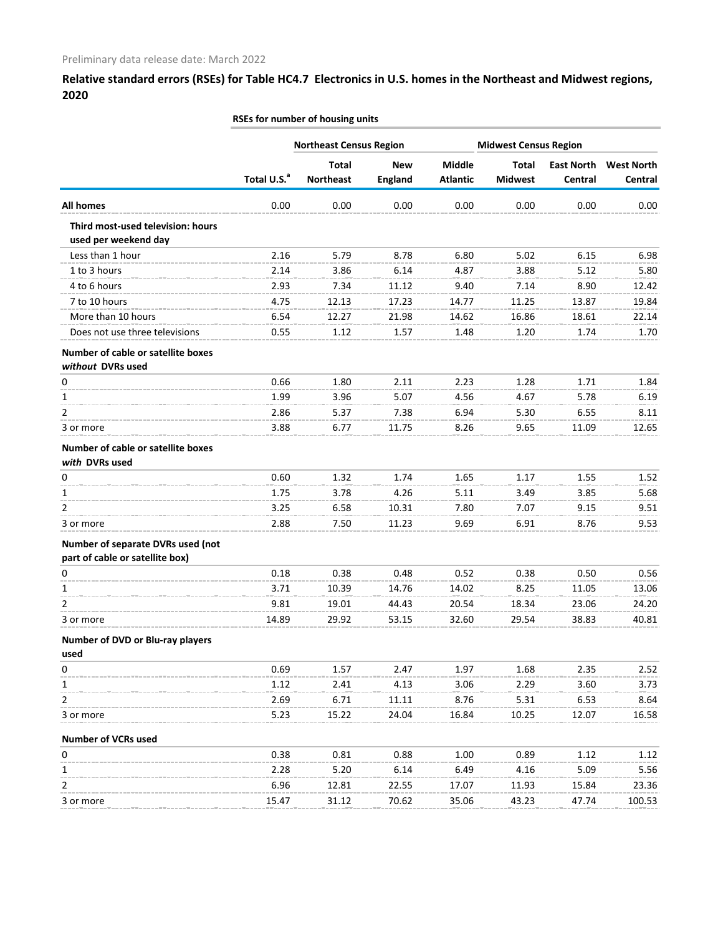|                                                                      |                         | <b>Northeast Census Region</b>   |                              |                           | <b>Midwest Census Region</b>   |                              |                              |  |
|----------------------------------------------------------------------|-------------------------|----------------------------------|------------------------------|---------------------------|--------------------------------|------------------------------|------------------------------|--|
|                                                                      | Total U.S. <sup>a</sup> | <b>Total</b><br><b>Northeast</b> | <b>New</b><br><b>England</b> | Middle<br><b>Atlantic</b> | <b>Total</b><br><b>Midwest</b> | <b>East North</b><br>Central | <b>West North</b><br>Central |  |
| <b>All homes</b>                                                     | 0.00                    | 0.00                             | 0.00                         | 0.00                      | 0.00                           | 0.00                         | 0.00                         |  |
| Third most-used television: hours<br>used per weekend day            |                         |                                  |                              |                           |                                |                              |                              |  |
| Less than 1 hour                                                     | 2.16                    | 5.79                             | 8.78                         | 6.80                      | 5.02                           | 6.15                         | 6.98                         |  |
| 1 to 3 hours                                                         | 2.14                    | 3.86                             | 6.14                         | 4.87                      | 3.88                           | 5.12                         | 5.80                         |  |
| 4 to 6 hours                                                         | 2.93                    | 7.34                             | 11.12                        | 9.40                      | 7.14                           | 8.90                         | 12.42                        |  |
| 7 to 10 hours                                                        | 4.75                    | 12.13                            | 17.23                        | 14.77                     | 11.25                          | 13.87                        | 19.84                        |  |
| More than 10 hours                                                   | 6.54                    | 12.27                            | 21.98                        | 14.62                     | 16.86                          | 18.61                        | 22.14                        |  |
| Does not use three televisions                                       | 0.55                    | 1.12                             | 1.57                         | 1.48                      | 1.20                           | 1.74                         | 1.70                         |  |
| Number of cable or satellite boxes<br>without DVRs used              |                         |                                  |                              |                           |                                |                              |                              |  |
| 0                                                                    | 0.66                    | 1.80                             | 2.11                         | 2.23                      | 1.28                           | 1.71                         | 1.84                         |  |
| 1                                                                    | 1.99                    | 3.96                             | 5.07                         | 4.56                      | 4.67                           | 5.78                         | 6.19                         |  |
| 2                                                                    | 2.86                    | 5.37                             | 7.38                         | 6.94                      | 5.30                           | 6.55                         | 8.11                         |  |
| 3 or more                                                            | 3.88                    | 6.77                             | 11.75                        | 8.26                      | 9.65                           | 11.09                        | 12.65                        |  |
| Number of cable or satellite boxes<br>with DVRs used                 |                         |                                  |                              |                           |                                |                              |                              |  |
| 0                                                                    | 0.60                    | 1.32                             | 1.74                         | 1.65                      | 1.17                           | 1.55                         | 1.52                         |  |
| 1                                                                    | 1.75                    | 3.78                             | 4.26                         | 5.11                      | 3.49                           | 3.85                         | 5.68                         |  |
| 2                                                                    | 3.25                    | 6.58                             | 10.31                        | 7.80                      | 7.07                           | 9.15                         | 9.51                         |  |
| 3 or more                                                            | 2.88                    | 7.50                             | 11.23                        | 9.69                      | 6.91                           | 8.76                         | 9.53                         |  |
| Number of separate DVRs used (not<br>part of cable or satellite box) |                         |                                  |                              |                           |                                |                              |                              |  |
| 0                                                                    | 0.18                    | 0.38                             | 0.48                         | 0.52                      | 0.38                           | 0.50                         | 0.56                         |  |
| 1                                                                    | 3.71                    | 10.39                            | 14.76                        | 14.02                     | 8.25                           | 11.05                        | 13.06                        |  |
| 2                                                                    | 9.81                    | 19.01                            | 44.43                        | 20.54                     | 18.34                          | 23.06                        | 24.20                        |  |
| 3 or more                                                            | 14.89                   | 29.92                            | 53.15                        | 32.60                     | 29.54                          | 38.83                        | 40.81                        |  |
| Number of DVD or Blu-ray players<br>used                             |                         |                                  |                              |                           |                                |                              |                              |  |
| 0                                                                    | 0.69                    | 1.57                             | 2.47                         | 1.97                      | 1.68                           | 2.35                         | 2.52                         |  |
| 1                                                                    | 1.12                    | 2.41                             | 4.13                         | 3.06                      | 2.29                           | 3.60                         | 3.73                         |  |
| 2                                                                    | 2.69                    | 6.71                             | 11.11                        | 8.76                      | 5.31                           | 6.53                         | 8.64                         |  |
| 3 or more                                                            | 5.23                    | 15.22                            | 24.04                        | 16.84                     | 10.25                          | 12.07                        | 16.58                        |  |
| <b>Number of VCRs used</b>                                           |                         |                                  |                              |                           |                                |                              |                              |  |
| $\pmb{0}$                                                            | 0.38                    | 0.81                             | 0.88                         | 1.00                      | 0.89                           | 1.12                         | 1.12                         |  |
| 1                                                                    | 2.28                    | 5.20                             | 6.14                         | 6.49                      | 4.16                           | 5.09                         | 5.56                         |  |
| 2                                                                    | 6.96                    | 12.81                            | 22.55                        | 17.07                     | 11.93                          | 15.84                        | 23.36                        |  |
| 3 or more                                                            | 15.47                   | 31.12                            | 70.62                        | 35.06                     | 43.23                          | 47.74                        | 100.53                       |  |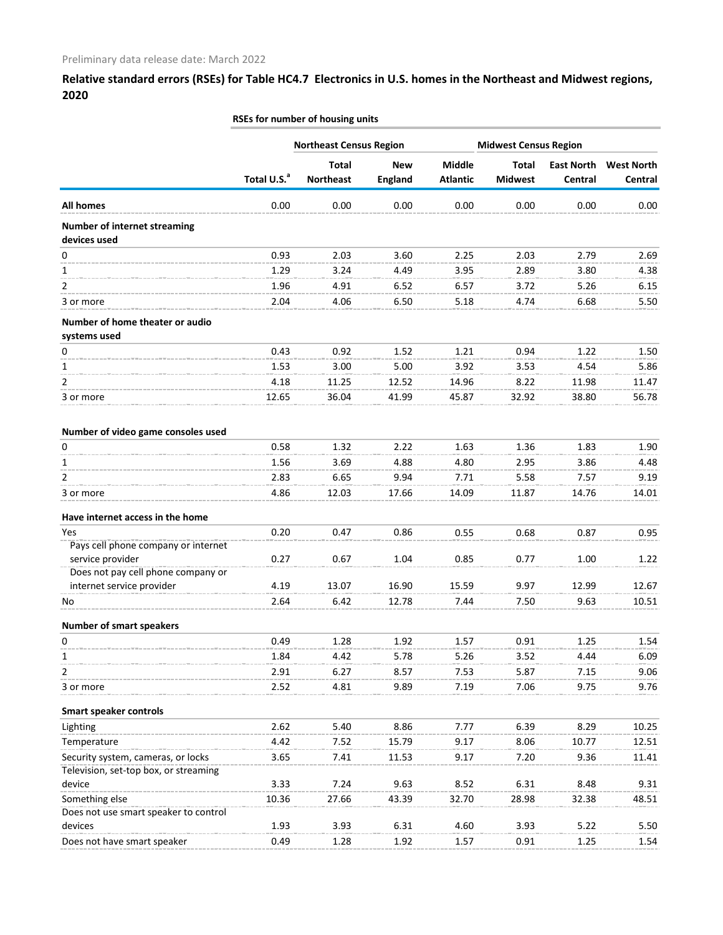|                                                     |                         | <b>Northeast Census Region</b>   |                              |                           | <b>Midwest Census Region</b>   |                              |                              |
|-----------------------------------------------------|-------------------------|----------------------------------|------------------------------|---------------------------|--------------------------------|------------------------------|------------------------------|
|                                                     | Total U.S. <sup>a</sup> | <b>Total</b><br><b>Northeast</b> | <b>New</b><br><b>England</b> | Middle<br><b>Atlantic</b> | <b>Total</b><br><b>Midwest</b> | <b>East North</b><br>Central | <b>West North</b><br>Central |
| <b>All homes</b>                                    | 0.00                    | 0.00                             | 0.00                         | 0.00                      | 0.00                           | 0.00                         | 0.00                         |
| <b>Number of internet streaming</b><br>devices used |                         |                                  |                              |                           |                                |                              |                              |
| 0                                                   | 0.93                    | 2.03                             | 3.60                         | 2.25                      | 2.03                           | 2.79                         | 2.69                         |
| 1                                                   | 1.29                    | 3.24                             | 4.49                         | 3.95                      | 2.89                           | 3.80                         | 4.38                         |
| 2                                                   | 1.96                    | 4.91                             | 6.52                         | 6.57                      | 3.72                           | 5.26                         | 6.15                         |
| 3 or more                                           | 2.04                    | 4.06                             | 6.50                         | 5.18                      | 4.74                           | 6.68                         | 5.50                         |
| Number of home theater or audio<br>systems used     |                         |                                  |                              |                           |                                |                              |                              |
| 0                                                   | 0.43                    | 0.92                             | 1.52                         | 1.21                      | 0.94                           | 1.22                         | 1.50                         |
| 1                                                   | 1.53                    | 3.00                             | 5.00                         | 3.92                      | 3.53                           | 4.54                         | 5.86                         |
| 2                                                   | 4.18                    | 11.25                            | 12.52                        | 14.96                     | 8.22                           | 11.98                        | 11.47                        |
| 3 or more                                           | 12.65                   | 36.04                            | 41.99                        | 45.87                     | 32.92                          | 38.80                        | 56.78                        |
| Number of video game consoles used                  |                         |                                  |                              |                           |                                |                              |                              |
| 0                                                   | 0.58                    | 1.32                             | 2.22                         | 1.63                      | 1.36                           | 1.83                         | 1.90                         |
| 1                                                   | 1.56                    | 3.69                             | 4.88                         | 4.80                      | 2.95                           | 3.86                         | 4.48                         |
| 2                                                   | 2.83                    | 6.65                             | 9.94                         | 7.71                      | 5.58                           |                              |                              |
|                                                     |                         |                                  |                              |                           |                                | 7.57                         | 9.19                         |
| 3 or more                                           | 4.86                    | 12.03                            | 17.66                        | 14.09                     | 11.87                          | 14.76                        | 14.01                        |
| Have internet access in the home                    |                         |                                  |                              |                           |                                |                              |                              |
| Yes                                                 | 0.20                    | 0.47                             | 0.86                         | 0.55                      | 0.68                           | 0.87                         | 0.95                         |
| Pays cell phone company or internet                 |                         |                                  |                              |                           |                                |                              |                              |
| service provider                                    | 0.27                    | 0.67                             | 1.04                         | 0.85                      | 0.77                           | 1.00                         | 1.22                         |
| Does not pay cell phone company or                  |                         |                                  |                              |                           |                                |                              |                              |
| internet service provider                           | 4.19                    | 13.07                            | 16.90                        | 15.59                     | 9.97                           | 12.99                        | 12.67                        |
| No.                                                 | 2.64                    | 6.42                             | 12.78                        | 7.44                      | 7.50                           | 9.63                         | 10.51                        |
| <b>Number of smart speakers</b>                     |                         |                                  |                              |                           |                                |                              |                              |
| 0                                                   | 0.49                    | 1.28                             | 1.92                         | 1.57                      | 0.91                           | 1.25                         | 1.54                         |
| 1                                                   | 1.84                    | 4.42                             | 5.78                         | 5.26                      | 3.52                           | 4.44                         | 6.09                         |
| $\overline{2}$                                      | 2.91                    | 6.27                             | 8.57                         | 7.53                      | 5.87                           | 7.15                         | 9.06                         |
| 3 or more                                           | 2.52                    | 4.81                             | 9.89                         | 7.19                      | 7.06                           | 9.75                         | 9.76                         |
| <b>Smart speaker controls</b>                       |                         |                                  |                              |                           |                                |                              |                              |
| Lighting                                            | 2.62                    | 5.40                             | 8.86                         | 7.77                      | 6.39                           | 8.29                         | 10.25                        |
| Temperature                                         | 4.42                    | 7.52                             | 15.79                        | 9.17                      | 8.06                           | 10.77                        | 12.51                        |
| Security system, cameras, or locks                  | 3.65                    | 7.41                             | 11.53                        | 9.17                      | 7.20                           | 9.36                         | 11.41                        |
| Television, set-top box, or streaming               |                         |                                  |                              |                           |                                |                              |                              |
| device                                              | 3.33                    | 7.24                             | 9.63                         | 8.52                      | 6.31                           | 8.48                         | 9.31                         |
| Something else                                      | 10.36                   | 27.66                            | 43.39                        | 32.70                     | 28.98                          | 32.38                        | 48.51                        |
| Does not use smart speaker to control               |                         |                                  |                              |                           |                                |                              |                              |
| devices                                             | 1.93                    | 3.93                             | 6.31                         | 4.60                      | 3.93                           | 5.22                         | 5.50                         |
| Does not have smart speaker                         | 0.49                    | 1.28                             | 1.92                         | 1.57                      | 0.91                           | 1.25                         | 1.54                         |